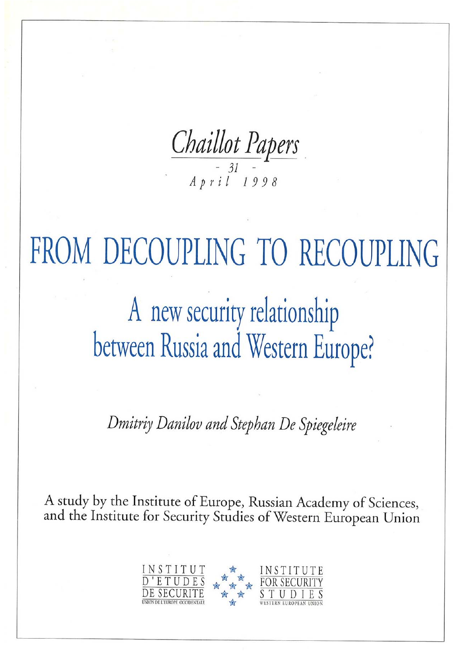

FROM DECOUPLING TO RECOUPLING A new security relationship between Russia and Western Europe?

Dmitriy Danilov and Stephan De Spiegeleire

A study by the Institute of Europe, Russian Academy of Sciences, and the Institute for Security Studies of Western European Union

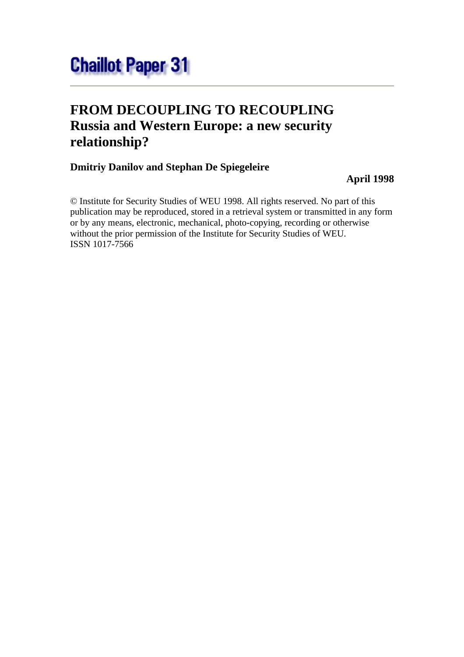# **FROM DECOUPLING TO RECOUPLING Russia and Western Europe: a new security relationship?**

## **Dmitriy Danilov and Stephan De Spiegeleire**

## **April 1998**

© Institute for Security Studies of WEU 1998. All rights reserved. No part of this publication may be reproduced, stored in a retrieval system or transmitted in any form or by any means, electronic, mechanical, photo-copying, recording or otherwise without the prior permission of the Institute for Security Studies of WEU. ISSN 1017-7566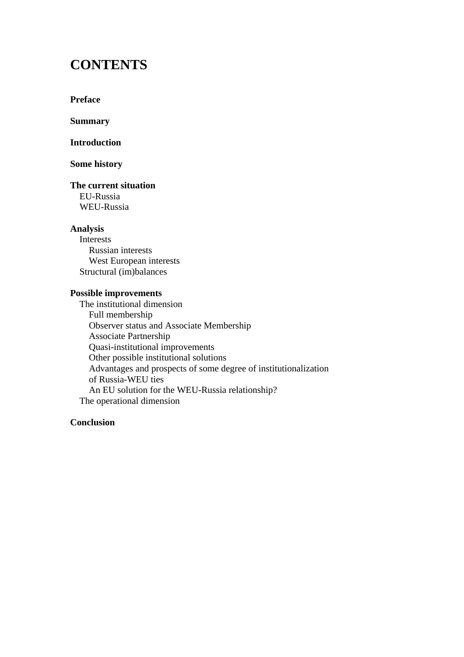## **CONTENTS**

**Preface**

**Summary**

**Introduction**

#### **Some history**

**The current situation** EU-Russia WEU-Russia

#### **Analysis**

 Interests Russian interests West European interests Structural (im)balances

### **Possible improvements**

 The institutional dimension Full membership Observer status and Associate Membership Associate Partnership Quasi-institutional improvements Other possible institutional solutions Advantages and prospects of some degree of institutionalization of Russia-WEU ties An EU solution for the WEU-Russia relationship? The operational dimension

#### **Conclusion**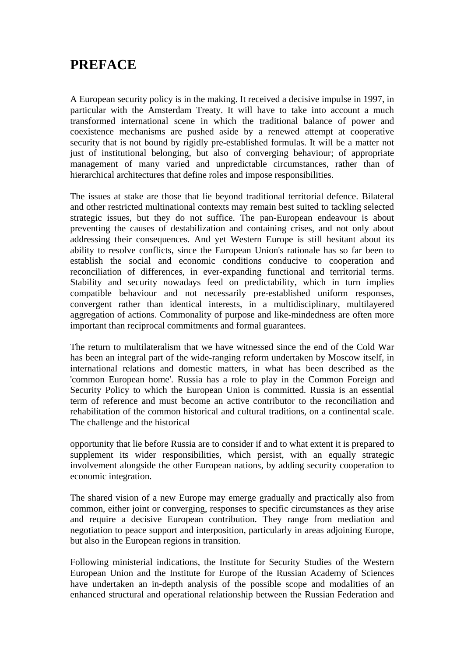## **PREFACE**

A European security policy is in the making. It received a decisive impulse in 1997, in particular with the Amsterdam Treaty. It will have to take into account a much transformed international scene in which the traditional balance of power and coexistence mechanisms are pushed aside by a renewed attempt at cooperative security that is not bound by rigidly pre-established formulas. It will be a matter not just of institutional belonging, but also of converging behaviour; of appropriate management of many varied and unpredictable circumstances, rather than of hierarchical architectures that define roles and impose responsibilities.

The issues at stake are those that lie beyond traditional territorial defence. Bilateral and other restricted multinational contexts may remain best suited to tackling selected strategic issues, but they do not suffice. The pan-European endeavour is about preventing the causes of destabilization and containing crises, and not only about addressing their consequences. And yet Western Europe is still hesitant about its ability to resolve conflicts, since the European Union's rationale has so far been to establish the social and economic conditions conducive to cooperation and reconciliation of differences, in ever-expanding functional and territorial terms. Stability and security nowadays feed on predictability, which in turn implies compatible behaviour and not necessarily pre-established uniform responses, convergent rather than identical interests, in a multidisciplinary, multilayered aggregation of actions. Commonality of purpose and like-mindedness are often more important than reciprocal commitments and formal guarantees.

The return to multilateralism that we have witnessed since the end of the Cold War has been an integral part of the wide-ranging reform undertaken by Moscow itself, in international relations and domestic matters, in what has been described as the 'common European home'. Russia has a role to play in the Common Foreign and Security Policy to which the European Union is committed. Russia is an essential term of reference and must become an active contributor to the reconciliation and rehabilitation of the common historical and cultural traditions, on a continental scale. The challenge and the historical

opportunity that lie before Russia are to consider if and to what extent it is prepared to supplement its wider responsibilities, which persist, with an equally strategic involvement alongside the other European nations, by adding security cooperation to economic integration.

The shared vision of a new Europe may emerge gradually and practically also from common, either joint or converging, responses to specific circumstances as they arise and require a decisive European contribution. They range from mediation and negotiation to peace support and interposition, particularly in areas adjoining Europe, but also in the European regions in transition.

Following ministerial indications, the Institute for Security Studies of the Western European Union and the Institute for Europe of the Russian Academy of Sciences have undertaken an in-depth analysis of the possible scope and modalities of an enhanced structural and operational relationship between the Russian Federation and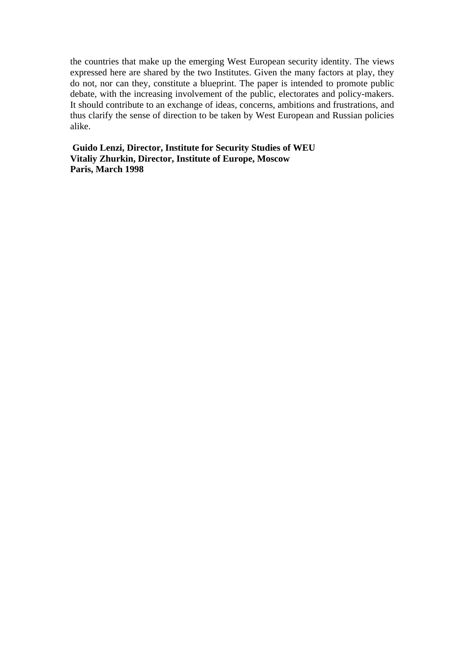the countries that make up the emerging West European security identity. The views expressed here are shared by the two Institutes. Given the many factors at play, they do not, nor can they, constitute a blueprint. The paper is intended to promote public debate, with the increasing involvement of the public, electorates and policy-makers. It should contribute to an exchange of ideas, concerns, ambitions and frustrations, and thus clarify the sense of direction to be taken by West European and Russian policies alike.

**Guido Lenzi, Director, Institute for Security Studies of WEU Vitaliy Zhurkin, Director, Institute of Europe, Moscow Paris, March 1998**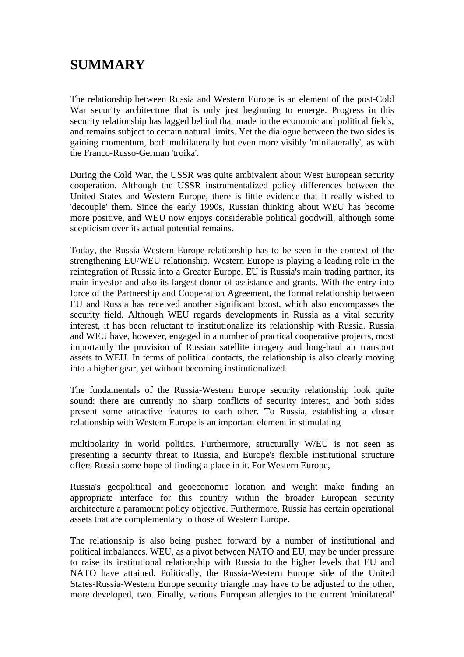## **SUMMARY**

The relationship between Russia and Western Europe is an element of the post-Cold War security architecture that is only just beginning to emerge. Progress in this security relationship has lagged behind that made in the economic and political fields, and remains subject to certain natural limits. Yet the dialogue between the two sides is gaining momentum, both multilaterally but even more visibly 'minilaterally', as with the Franco-Russo-German 'troika'.

During the Cold War, the USSR was quite ambivalent about West European security cooperation. Although the USSR instrumentalized policy differences between the United States and Western Europe, there is little evidence that it really wished to 'decouple' them. Since the early 1990s, Russian thinking about WEU has become more positive, and WEU now enjoys considerable political goodwill, although some scepticism over its actual potential remains.

Today, the Russia-Western Europe relationship has to be seen in the context of the strengthening EU/WEU relationship. Western Europe is playing a leading role in the reintegration of Russia into a Greater Europe. EU is Russia's main trading partner, its main investor and also its largest donor of assistance and grants. With the entry into force of the Partnership and Cooperation Agreement, the formal relationship between EU and Russia has received another significant boost, which also encompasses the security field. Although WEU regards developments in Russia as a vital security interest, it has been reluctant to institutionalize its relationship with Russia. Russia and WEU have, however, engaged in a number of practical cooperative projects, most importantly the provision of Russian satellite imagery and long-haul air transport assets to WEU. In terms of political contacts, the relationship is also clearly moving into a higher gear, yet without becoming institutionalized.

The fundamentals of the Russia-Western Europe security relationship look quite sound: there are currently no sharp conflicts of security interest, and both sides present some attractive features to each other. To Russia, establishing a closer relationship with Western Europe is an important element in stimulating

multipolarity in world politics. Furthermore, structurally W/EU is not seen as presenting a security threat to Russia, and Europe's flexible institutional structure offers Russia some hope of finding a place in it. For Western Europe,

Russia's geopolitical and geoeconomic location and weight make finding an appropriate interface for this country within the broader European security architecture a paramount policy objective. Furthermore, Russia has certain operational assets that are complementary to those of Western Europe.

The relationship is also being pushed forward by a number of institutional and political imbalances. WEU, as a pivot between NATO and EU, may be under pressure to raise its institutional relationship with Russia to the higher levels that EU and NATO have attained. Politically, the Russia-Western Europe side of the United States-Russia-Western Europe security triangle may have to be adjusted to the other, more developed, two. Finally, various European allergies to the current 'minilateral'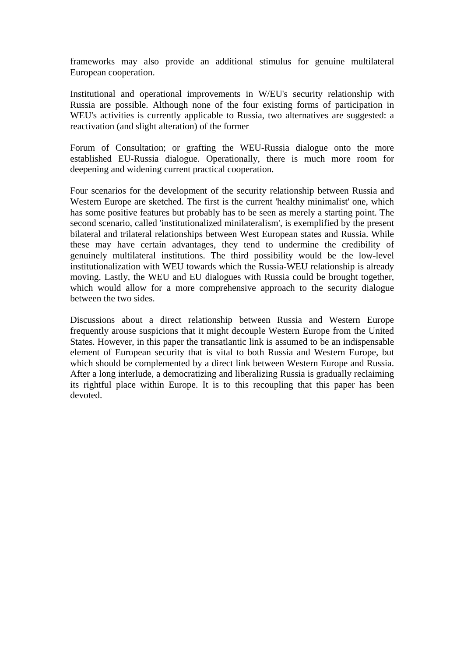frameworks may also provide an additional stimulus for genuine multilateral European cooperation.

Institutional and operational improvements in W/EU's security relationship with Russia are possible. Although none of the four existing forms of participation in WEU's activities is currently applicable to Russia, two alternatives are suggested: a reactivation (and slight alteration) of the former

Forum of Consultation; or grafting the WEU-Russia dialogue onto the more established EU-Russia dialogue. Operationally, there is much more room for deepening and widening current practical cooperation.

Four scenarios for the development of the security relationship between Russia and Western Europe are sketched. The first is the current 'healthy minimalist' one, which has some positive features but probably has to be seen as merely a starting point. The second scenario, called 'institutionalized minilateralism', is exemplified by the present bilateral and trilateral relationships between West European states and Russia. While these may have certain advantages, they tend to undermine the credibility of genuinely multilateral institutions. The third possibility would be the low-level institutionalization with WEU towards which the Russia-WEU relationship is already moving. Lastly, the WEU and EU dialogues with Russia could be brought together, which would allow for a more comprehensive approach to the security dialogue between the two sides.

Discussions about a direct relationship between Russia and Western Europe frequently arouse suspicions that it might decouple Western Europe from the United States. However, in this paper the transatlantic link is assumed to be an indispensable element of European security that is vital to both Russia and Western Europe, but which should be complemented by a direct link between Western Europe and Russia. After a long interlude, a democratizing and liberalizing Russia is gradually reclaiming its rightful place within Europe. It is to this recoupling that this paper has been devoted.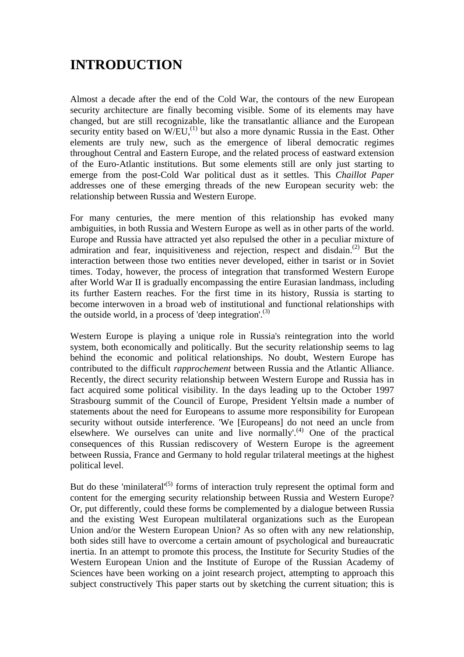# **INTRODUCTION**

Almost a decade after the end of the Cold War, the contours of the new European security architecture are finally becoming visible. Some of its elements may have changed, but are still recognizable, like the transatlantic alliance and the European security entity based on  $W/EU<sub>1</sub><sup>(1)</sup>$  but also a more dynamic Russia in the East. Other elements are truly new, such as the emergence of liberal democratic regimes throughout Central and Eastern Europe, and the related process of eastward extension of the Euro-Atlantic institutions. But some elements still are only just starting to emerge from the post-Cold War political dust as it settles. This *Chaillot Paper*  addresses one of these emerging threads of the new European security web: the relationship between Russia and Western Europe.

For many centuries, the mere mention of this relationship has evoked many ambiguities, in both Russia and Western Europe as well as in other parts of the world. Europe and Russia have attracted yet also repulsed the other in a peculiar mixture of admiration and fear, inquisitiveness and rejection, respect and disdain.(2) But the interaction between those two entities never developed, either in tsarist or in Soviet times. Today, however, the process of integration that transformed Western Europe after World War II is gradually encompassing the entire Eurasian landmass, including its further Eastern reaches. For the first time in its history, Russia is starting to become interwoven in a broad web of institutional and functional relationships with the outside world, in a process of 'deep integration'.<sup>(3)</sup>

Western Europe is playing a unique role in Russia's reintegration into the world system, both economically and politically. But the security relationship seems to lag behind the economic and political relationships. No doubt, Western Europe has contributed to the difficult *rapprochement* between Russia and the Atlantic Alliance. Recently, the direct security relationship between Western Europe and Russia has in fact acquired some political visibility. In the days leading up to the October 1997 Strasbourg summit of the Council of Europe, President Yeltsin made a number of statements about the need for Europeans to assume more responsibility for European security without outside interference. 'We [Europeans] do not need an uncle from elsewhere. We ourselves can unite and live normally'.<sup>(4)</sup> One of the practical consequences of this Russian rediscovery of Western Europe is the agreement between Russia, France and Germany to hold regular trilateral meetings at the highest political level.

But do these 'minilateral'<sup>(5)</sup> forms of interaction truly represent the optimal form and content for the emerging security relationship between Russia and Western Europe? Or, put differently, could these forms be complemented by a dialogue between Russia and the existing West European multilateral organizations such as the European Union and/or the Western European Union? As so often with any new relationship, both sides still have to overcome a certain amount of psychological and bureaucratic inertia. In an attempt to promote this process, the Institute for Security Studies of the Western European Union and the Institute of Europe of the Russian Academy of Sciences have been working on a joint research project, attempting to approach this subject constructively This paper starts out by sketching the current situation; this is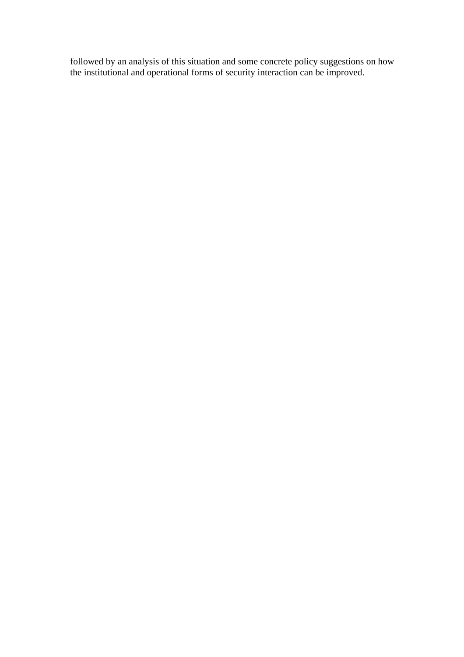followed by an analysis of this situation and some concrete policy suggestions on how the institutional and operational forms of security interaction can be improved.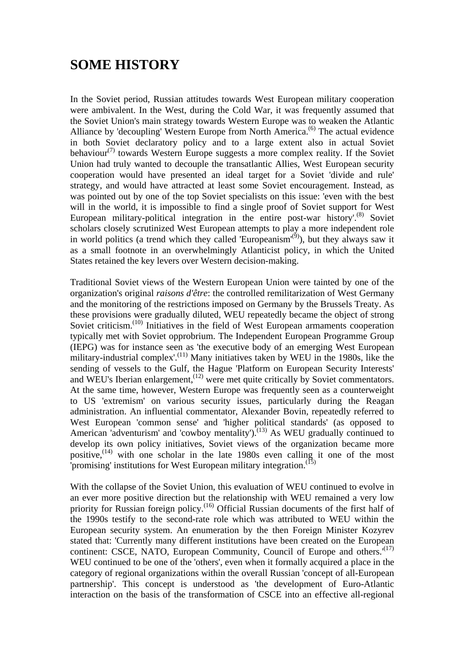## **SOME HISTORY**

In the Soviet period, Russian attitudes towards West European military cooperation were ambivalent. In the West, during the Cold War, it was frequently assumed that the Soviet Union's main strategy towards Western Europe was to weaken the Atlantic Alliance by 'decoupling' Western Europe from North America.<sup>(6)</sup> The actual evidence in both Soviet declaratory policy and to a large extent also in actual Soviet behaviour<sup> $(7)$ </sup> towards Western Europe suggests a more complex reality. If the Soviet Union had truly wanted to decouple the transatlantic Allies, West European security cooperation would have presented an ideal target for a Soviet 'divide and rule' strategy, and would have attracted at least some Soviet encouragement. Instead, as was pointed out by one of the top Soviet specialists on this issue: 'even with the best will in the world, it is impossible to find a single proof of Soviet support for West European military-political integration in the entire post-war history'.<sup>(8)</sup> Soviet scholars closely scrutinized West European attempts to play a more independent role in world politics (a trend which they called 'Europeanism'<sup> $(9)$ </sup>), but they always saw it as a small footnote in an overwhelmingly Atlanticist policy, in which the United States retained the key levers over Western decision-making.

Traditional Soviet views of the Western European Union were tainted by one of the organization's original *raisons d'être*: the controlled remilitarization of West Germany and the monitoring of the restrictions imposed on Germany by the Brussels Treaty. As these provisions were gradually diluted, WEU repeatedly became the object of strong Soviet criticism.<sup>(10)</sup> Initiatives in the field of West European armaments cooperation typically met with Soviet opprobrium. The Independent European Programme Group (IEPG) was for instance seen as 'the executive body of an emerging West European military-industrial complex'.<sup>(11)</sup> Many initiatives taken by WEU in the 1980s, like the sending of vessels to the Gulf, the Hague 'Platform on European Security Interests' and WEU's Iberian enlargement,<sup> $(12)$ </sup> were met quite critically by Soviet commentators. At the same time, however, Western Europe was frequently seen as a counterweight to US 'extremism' on various security issues, particularly during the Reagan administration. An influential commentator, Alexander Bovin, repeatedly referred to West European 'common sense' and 'higher political standards' (as opposed to American 'adventurism' and 'cowboy mentality').<sup> $(13)$ </sup> As WEU gradually continued to develop its own policy initiatives, Soviet views of the organization became more positive,  $(14)$  with one scholar in the late 1980s even calling it one of the most  $\overline{a}$  promising' institutions for West European military integration.<sup>(15)</sup>

With the collapse of the Soviet Union, this evaluation of WEU continued to evolve in an ever more positive direction but the relationship with WEU remained a very low priority for Russian foreign policy.<sup>(16)</sup> Official Russian documents of the first half of the 1990s testify to the second-rate role which was attributed to WEU within the European security system. An enumeration by the then Foreign Minister Kozyrev stated that: 'Currently many different institutions have been created on the European continent: CSCE, NATO, European Community, Council of Europe and others.<sup>'(17)</sup> WEU continued to be one of the 'others', even when it formally acquired a place in the category of regional organizations within the overall Russian 'concept of all-European partnership'. This concept is understood as 'the development of Euro-Atlantic interaction on the basis of the transformation of CSCE into an effective all-regional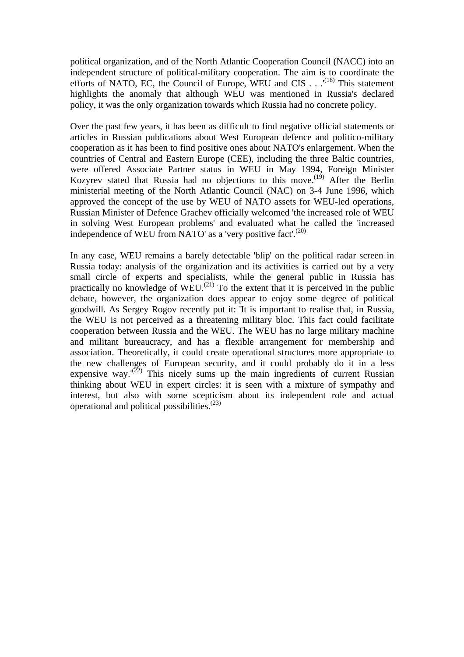political organization, and of the North Atlantic Cooperation Council (NACC) into an independent structure of political-military cooperation. The aim is to coordinate the efforts of NATO, EC, the Council of Europe, WEU and CIS . . .<sup>'(18)</sup> This statement highlights the anomaly that although WEU was mentioned in Russia's declared policy, it was the only organization towards which Russia had no concrete policy.

Over the past few years, it has been as difficult to find negative official statements or articles in Russian publications about West European defence and politico-military cooperation as it has been to find positive ones about NATO's enlargement. When the countries of Central and Eastern Europe (CEE), including the three Baltic countries, were offered Associate Partner status in WEU in May 1994, Foreign Minister Kozyrev stated that Russia had no objections to this move.<sup>(19)</sup> After the Berlin ministerial meeting of the North Atlantic Council (NAC) on 3-4 June 1996, which approved the concept of the use by WEU of NATO assets for WEU-led operations, Russian Minister of Defence Grachev officially welcomed 'the increased role of WEU in solving West European problems' and evaluated what he called the 'increased independence of WEU from NATO' as a 'very positive fact'.<sup> $(20)$ </sup>

In any case, WEU remains a barely detectable 'blip' on the political radar screen in Russia today: analysis of the organization and its activities is carried out by a very small circle of experts and specialists, while the general public in Russia has practically no knowledge of  $\text{WEU}^{(21)}$  To the extent that it is perceived in the public debate, however, the organization does appear to enjoy some degree of political goodwill. As Sergey Rogov recently put it: 'It is important to realise that, in Russia, the WEU is not perceived as a threatening military bloc. This fact could facilitate cooperation between Russia and the WEU. The WEU has no large military machine and militant bureaucracy, and has a flexible arrangement for membership and association. Theoretically, it could create operational structures more appropriate to the new challenges of European security, and it could probably do it in a less expensive way. $(22)$  This nicely sums up the main ingredients of current Russian thinking about WEU in expert circles: it is seen with a mixture of sympathy and interest, but also with some scepticism about its independent role and actual operational and political possibilities.(23)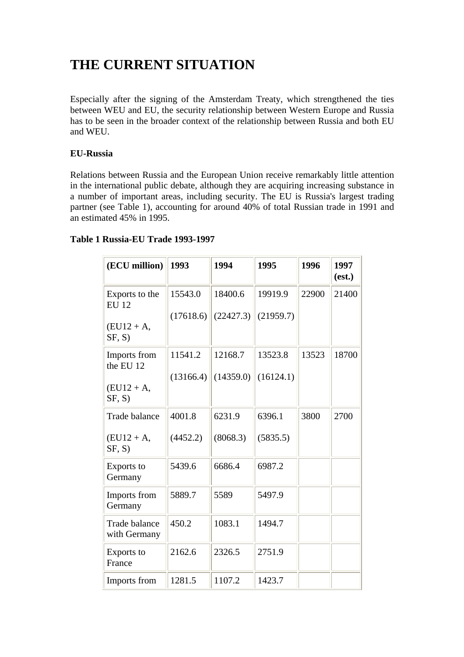# **THE CURRENT SITUATION**

Especially after the signing of the Amsterdam Treaty, which strengthened the ties between WEU and EU, the security relationship between Western Europe and Russia has to be seen in the broader context of the relationship between Russia and both EU and WEU.

## **EU-Russia**

Relations between Russia and the European Union receive remarkably little attention in the international public debate, although they are acquiring increasing substance in a number of important areas, including security. The EU is Russia's largest trading partner (see Table 1), accounting for around 40% of total Russian trade in 1991 and an estimated 45% in 1995.

## **Table 1 Russia-EU Trade 1993-1997**

| (ECU million)                  | 1993      | 1994      | 1995      | 1996  | 1997<br>(est.) |
|--------------------------------|-----------|-----------|-----------|-------|----------------|
| Exports to the<br><b>EU 12</b> | 15543.0   | 18400.6   | 19919.9   | 22900 | 21400          |
| $(EU12 + A,$                   | (17618.6) | (22427.3) | (21959.7) |       |                |
| SF, S)                         |           |           |           |       |                |
| Imports from<br>the EU 12      | 11541.2   | 12168.7   | 13523.8   | 13523 | 18700          |
|                                | (13166.4) | (14359.0) | (16124.1) |       |                |
| $(EU12 + A,$<br>SF, S)         |           |           |           |       |                |
| <b>Trade balance</b>           | 4001.8    | 6231.9    | 6396.1    | 3800  | 2700           |
| $(EU12 + A,$<br>SF, S)         | (4452.2)  | (8068.3)  | (5835.5)  |       |                |
| Exports to<br>Germany          | 5439.6    | 6686.4    | 6987.2    |       |                |
| Imports from<br>Germany        | 5889.7    | 5589      | 5497.9    |       |                |
| Trade balance<br>with Germany  | 450.2     | 1083.1    | 1494.7    |       |                |
| Exports to<br>France           | 2162.6    | 2326.5    | 2751.9    |       |                |
| Imports from                   | 1281.5    | 1107.2    | 1423.7    |       |                |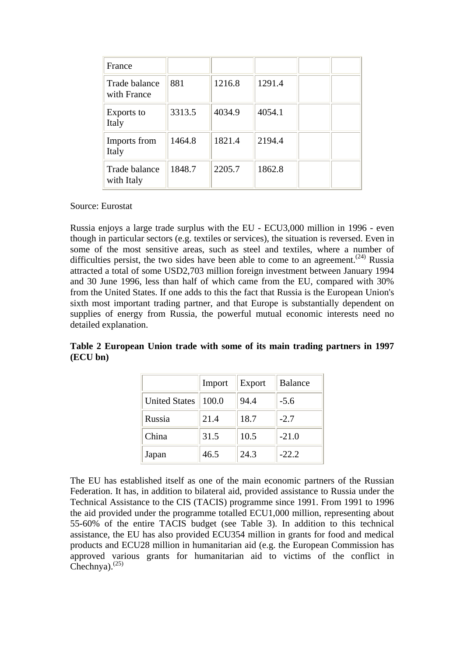| France                       |        |        |        |  |
|------------------------------|--------|--------|--------|--|
| Trade balance<br>with France | 881    | 1216.8 | 1291.4 |  |
| Exports to<br>Italy          | 3313.5 | 4034.9 | 4054.1 |  |
| Imports from<br>Italy        | 1464.8 | 1821.4 | 2194.4 |  |
| Trade balance<br>with Italy  | 1848.7 | 2205.7 | 1862.8 |  |

Source: Eurostat

Russia enjoys a large trade surplus with the EU - ECU3,000 million in 1996 - even though in particular sectors (e.g. textiles or services), the situation is reversed. Even in some of the most sensitive areas, such as steel and textiles, where a number of difficulties persist, the two sides have been able to come to an agreement.<sup> $(24)$ </sup> Russia attracted a total of some USD2,703 million foreign investment between January 1994 and 30 June 1996, less than half of which came from the EU, compared with 30% from the United States. If one adds to this the fact that Russia is the European Union's sixth most important trading partner, and that Europe is substantially dependent on supplies of energy from Russia, the powerful mutual economic interests need no detailed explanation.

**Table 2 European Union trade with some of its main trading partners in 1997 (ECU bn)**

|                      | Import | Export | <b>Balance</b> |
|----------------------|--------|--------|----------------|
| <b>United States</b> | 100.0  | 94.4   | $-5.6$         |
| Russia               | 21.4   | 18.7   | $-2.7$         |
| China                | 31.5   | 10.5   | $-21.0$        |
| Japan                | 46.5   | 24.3   | $-22.2$        |

The EU has established itself as one of the main economic partners of the Russian Federation. It has, in addition to bilateral aid, provided assistance to Russia under the Technical Assistance to the CIS (TACIS) programme since 1991. From 1991 to 1996 the aid provided under the programme totalled ECU1,000 million, representing about 55-60% of the entire TACIS budget (see Table 3). In addition to this technical assistance, the EU has also provided ECU354 million in grants for food and medical products and ECU28 million in humanitarian aid (e.g. the European Commission has approved various grants for humanitarian aid to victims of the conflict in Chechnya). $^{(25)}$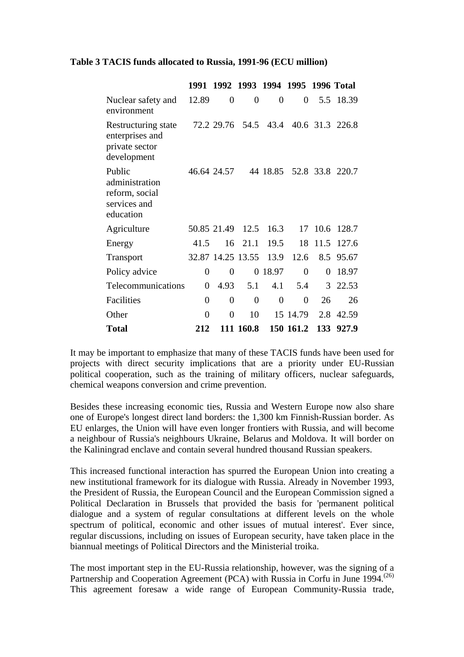## **Table 3 TACIS funds allocated to Russia, 1991-96 (ECU million)**

|                                                                         | 1991     |                   |                  |                | 1992 1993 1994 1995 1996 Total |      |                 |
|-------------------------------------------------------------------------|----------|-------------------|------------------|----------------|--------------------------------|------|-----------------|
| Nuclear safety and<br>environment                                       | 12.89    | 0                 | $\boldsymbol{0}$ | $\overline{0}$ | 0                              | 5.5  | 18.39           |
| Restructuring state<br>enterprises and<br>private sector<br>development |          |                   | 72.2 29.76 54.5  | 43.4           |                                |      | 40.6 31.3 226.8 |
| Public<br>administration<br>reform, social<br>services and<br>education |          | 46.64 24.57       |                  | 44 18.85       |                                |      | 52.8 33.8 220.7 |
| Agriculture                                                             |          | 50.85 21.49       | 12.5             | 16.3           | 17                             |      | 10.6 128.7      |
| Energy                                                                  | 41.5     | 16                | 21.1             | 19.5           | 18                             | 11.5 | 127.6           |
| <b>Transport</b>                                                        |          | 32.87 14.25 13.55 |                  | 13.9           | 12.6                           | 8.5  | 95.67           |
| Policy advice                                                           | 0        | 0                 | 0                | 18.97          | 0                              | 0    | 18.97           |
| Telecommunications                                                      | 0        | 4.93              | 5.1              | 4.1            | 5.4                            | 3    | 22.53           |
| Facilities                                                              | 0        | 0                 | $\overline{0}$   | $\overline{0}$ | 0                              | 26   | 26              |
| Other                                                                   | $\theta$ | 0                 | 10               |                | 15 14.79                       | 2.8  | 42.59           |
| Total                                                                   | 212      |                   | 111 160.8        |                | 150 161.2                      | 133  | 927.9           |

It may be important to emphasize that many of these TACIS funds have been used for projects with direct security implications that are a priority under EU-Russian political cooperation, such as the training of military officers, nuclear safeguards, chemical weapons conversion and crime prevention.

Besides these increasing economic ties, Russia and Western Europe now also share one of Europe's longest direct land borders: the 1,300 km Finnish-Russian border. As EU enlarges, the Union will have even longer frontiers with Russia, and will become a neighbour of Russia's neighbours Ukraine, Belarus and Moldova. It will border on the Kaliningrad enclave and contain several hundred thousand Russian speakers.

This increased functional interaction has spurred the European Union into creating a new institutional framework for its dialogue with Russia. Already in November 1993, the President of Russia, the European Council and the European Commission signed a Political Declaration in Brussels that provided the basis for 'permanent political dialogue and a system of regular consultations at different levels on the whole spectrum of political, economic and other issues of mutual interest'. Ever since, regular discussions, including on issues of European security, have taken place in the biannual meetings of Political Directors and the Ministerial troika.

The most important step in the EU-Russia relationship, however, was the signing of a Partnership and Cooperation Agreement (PCA) with Russia in Corfu in June 1994.<sup>(26)</sup> This agreement foresaw a wide range of European Community-Russia trade,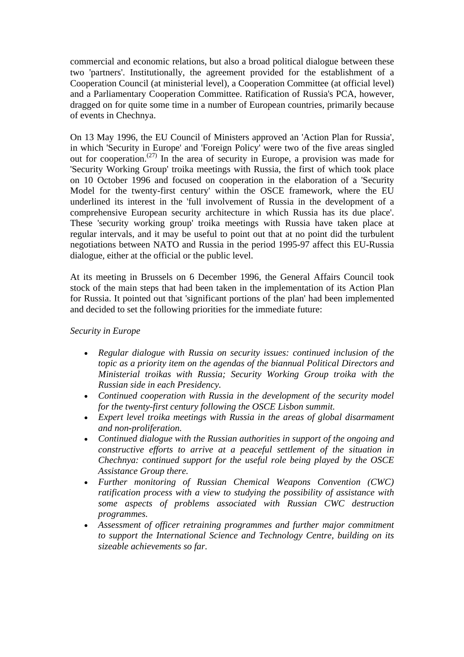commercial and economic relations, but also a broad political dialogue between these two 'partners'. Institutionally, the agreement provided for the establishment of a Cooperation Council (at ministerial level), a Cooperation Committee (at official level) and a Parliamentary Cooperation Committee. Ratification of Russia's PCA, however, dragged on for quite some time in a number of European countries, primarily because of events in Chechnya.

On 13 May 1996, the EU Council of Ministers approved an 'Action Plan for Russia', in which 'Security in Europe' and 'Foreign Policy' were two of the five areas singled out for cooperation.<sup> $(27)$ </sup> In the area of security in Europe, a provision was made for 'Security Working Group' troika meetings with Russia, the first of which took place on 10 October 1996 and focused on cooperation in the elaboration of a 'Security Model for the twenty-first century' within the OSCE framework, where the EU underlined its interest in the 'full involvement of Russia in the development of a comprehensive European security architecture in which Russia has its due place'. These 'security working group' troika meetings with Russia have taken place at regular intervals, and it may be useful to point out that at no point did the turbulent negotiations between NATO and Russia in the period 1995-97 affect this EU-Russia dialogue, either at the official or the public level.

At its meeting in Brussels on 6 December 1996, the General Affairs Council took stock of the main steps that had been taken in the implementation of its Action Plan for Russia. It pointed out that 'significant portions of the plan' had been implemented and decided to set the following priorities for the immediate future:

## *Security in Europe*

- *Regular dialogue with Russia on security issues: continued inclusion of the topic as a priority item on the agendas of the biannual Political Directors and Ministerial troikas with Russia; Security Working Group troika with the Russian side in each Presidency.*
- *Continued cooperation with Russia in the development of the security model for the twenty-first century following the OSCE Lisbon summit.*
- *Expert level troika meetings with Russia in the areas of global disarmament and non-proliferation.*
- *Continued dialogue with the Russian authorities in support of the ongoing and constructive efforts to arrive at a peaceful settlement of the situation in Chechnya: continued support for the useful role being played by the OSCE Assistance Group there.*
- *Further monitoring of Russian Chemical Weapons Convention (CWC) ratification process with a view to studying the possibility of assistance with some aspects of problems associated with Russian CWC destruction programmes.*
- *Assessment of officer retraining programmes and further major commitment to support the International Science and Technology Centre, building on its sizeable achievements so far.*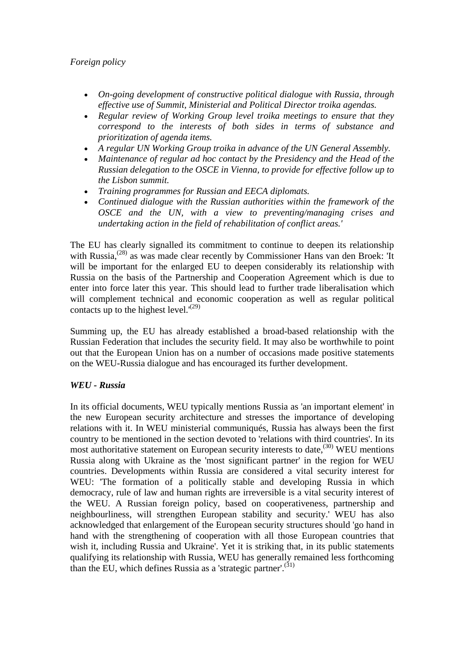## *Foreign policy*

- *On-going development of constructive political dialogue with Russia, through effective use of Summit, Ministerial and Political Director troika agendas.*
- *Regular review of Working Group level troika meetings to ensure that they correspond to the interests of both sides in terms of substance and prioritization of agenda items.*
- *A regular UN Working Group troika in advance of the UN General Assembly.*
- *Maintenance of regular ad hoc contact by the Presidency and the Head of the Russian delegation to the OSCE in Vienna, to provide for effective follow up to the Lisbon summit.*
- *Training programmes for Russian and EECA diplomats.*
- *Continued dialogue with the Russian authorities within the framework of the OSCE and the UN, with a view to preventing/managing crises and undertaking action in the field of rehabilitation of conflict areas.'*

The EU has clearly signalled its commitment to continue to deepen its relationship with Russia,<sup>(28)</sup> as was made clear recently by Commissioner Hans van den Broek: 'It will be important for the enlarged EU to deepen considerably its relationship with Russia on the basis of the Partnership and Cooperation Agreement which is due to enter into force later this year. This should lead to further trade liberalisation which will complement technical and economic cooperation as well as regular political contacts up to the highest level. $(29)$ 

Summing up, the EU has already established a broad-based relationship with the Russian Federation that includes the security field. It may also be worthwhile to point out that the European Union has on a number of occasions made positive statements on the WEU-Russia dialogue and has encouraged its further development.

## *WEU - Russia*

In its official documents, WEU typically mentions Russia as 'an important element' in the new European security architecture and stresses the importance of developing relations with it. In WEU ministerial communiqués, Russia has always been the first country to be mentioned in the section devoted to 'relations with third countries'. In its most authoritative statement on European security interests to date, $(30)$  WEU mentions Russia along with Ukraine as the 'most significant partner' in the region for WEU countries. Developments within Russia are considered a vital security interest for WEU: 'The formation of a politically stable and developing Russia in which democracy, rule of law and human rights are irreversible is a vital security interest of the WEU. A Russian foreign policy, based on cooperativeness, partnership and neighbourliness, will strengthen European stability and security.' WEU has also acknowledged that enlargement of the European security structures should 'go hand in hand with the strengthening of cooperation with all those European countries that wish it, including Russia and Ukraine'. Yet it is striking that, in its public statements qualifying its relationship with Russia, WEU has generally remained less forthcoming than the EU, which defines Russia as a 'strategic partner'.<sup>(31)</sup>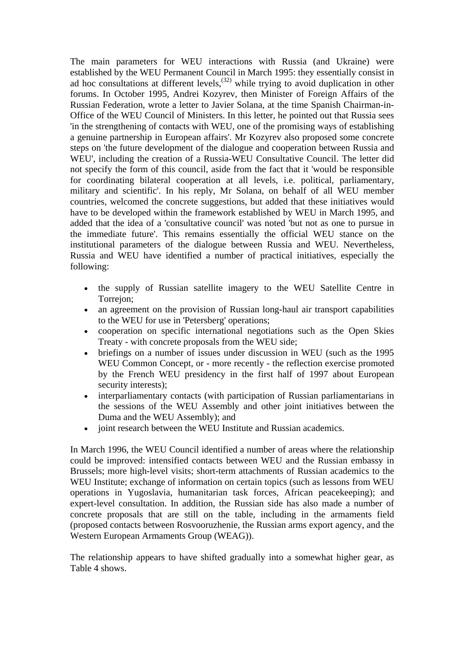The main parameters for WEU interactions with Russia (and Ukraine) were established by the WEU Permanent Council in March 1995: they essentially consist in ad hoc consultations at different levels,<sup> $(32)$ </sup> while trying to avoid duplication in other forums. In October 1995, Andrei Kozyrev, then Minister of Foreign Affairs of the Russian Federation, wrote a letter to Javier Solana, at the time Spanish Chairman-in-Office of the WEU Council of Ministers. In this letter, he pointed out that Russia sees 'in the strengthening of contacts with WEU, one of the promising ways of establishing a genuine partnership in European affairs'. Mr Kozyrev also proposed some concrete steps on 'the future development of the dialogue and cooperation between Russia and WEU', including the creation of a Russia-WEU Consultative Council. The letter did not specify the form of this council, aside from the fact that it 'would be responsible for coordinating bilateral cooperation at all levels, i.e. political, parliamentary, military and scientific'. In his reply, Mr Solana, on behalf of all WEU member countries, welcomed the concrete suggestions, but added that these initiatives would have to be developed within the framework established by WEU in March 1995, and added that the idea of a 'consultative council' was noted 'but not as one to pursue in the immediate future'. This remains essentially the official WEU stance on the institutional parameters of the dialogue between Russia and WEU. Nevertheless, Russia and WEU have identified a number of practical initiatives, especially the following:

- the supply of Russian satellite imagery to the WEU Satellite Centre in Torrejon;
- an agreement on the provision of Russian long-haul air transport capabilities to the WEU for use in 'Petersberg' operations;
- cooperation on specific international negotiations such as the Open Skies Treaty - with concrete proposals from the WEU side;
- briefings on a number of issues under discussion in WEU (such as the 1995 WEU Common Concept, or - more recently - the reflection exercise promoted by the French WEU presidency in the first half of 1997 about European security interests);
- interparliamentary contacts (with participation of Russian parliamentarians in the sessions of the WEU Assembly and other joint initiatives between the Duma and the WEU Assembly); and
- joint research between the WEU Institute and Russian academics.

In March 1996, the WEU Council identified a number of areas where the relationship could be improved: intensified contacts between WEU and the Russian embassy in Brussels; more high-level visits; short-term attachments of Russian academics to the WEU Institute; exchange of information on certain topics (such as lessons from WEU operations in Yugoslavia, humanitarian task forces, African peacekeeping); and expert-level consultation. In addition, the Russian side has also made a number of concrete proposals that are still on the table, including in the armaments field (proposed contacts between Rosvooruzhenie, the Russian arms export agency, and the Western European Armaments Group (WEAG)).

The relationship appears to have shifted gradually into a somewhat higher gear, as Table 4 shows.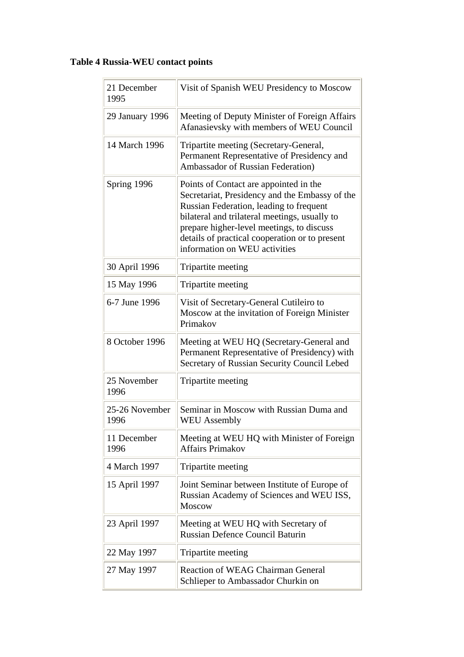## **Table 4 Russia-WEU contact points**

| 21 December<br>1995    | Visit of Spanish WEU Presidency to Moscow                                                                                                                                                                                                                                                                            |
|------------------------|----------------------------------------------------------------------------------------------------------------------------------------------------------------------------------------------------------------------------------------------------------------------------------------------------------------------|
| 29 January 1996        | Meeting of Deputy Minister of Foreign Affairs<br>Afanasievsky with members of WEU Council                                                                                                                                                                                                                            |
| 14 March 1996          | Tripartite meeting (Secretary-General,<br>Permanent Representative of Presidency and<br>Ambassador of Russian Federation)                                                                                                                                                                                            |
| Spring 1996            | Points of Contact are appointed in the<br>Secretariat, Presidency and the Embassy of the<br>Russian Federation, leading to frequent<br>bilateral and trilateral meetings, usually to<br>prepare higher-level meetings, to discuss<br>details of practical cooperation or to present<br>information on WEU activities |
| 30 April 1996          | Tripartite meeting                                                                                                                                                                                                                                                                                                   |
| 15 May 1996            | Tripartite meeting                                                                                                                                                                                                                                                                                                   |
| 6-7 June 1996          | Visit of Secretary-General Cutileiro to<br>Moscow at the invitation of Foreign Minister<br>Primakov                                                                                                                                                                                                                  |
| 8 October 1996         | Meeting at WEU HQ (Secretary-General and<br>Permanent Representative of Presidency) with<br>Secretary of Russian Security Council Lebed                                                                                                                                                                              |
| 25 November<br>1996    | Tripartite meeting                                                                                                                                                                                                                                                                                                   |
| 25-26 November<br>1996 | Seminar in Moscow with Russian Duma and<br><b>WEU</b> Assembly                                                                                                                                                                                                                                                       |
| 11 December<br>1996    | Meeting at WEU HQ with Minister of Foreign<br><b>Affairs Primakov</b>                                                                                                                                                                                                                                                |
| 4 March 1997           | Tripartite meeting                                                                                                                                                                                                                                                                                                   |
| 15 April 1997          | Joint Seminar between Institute of Europe of<br>Russian Academy of Sciences and WEU ISS,<br><b>Moscow</b>                                                                                                                                                                                                            |
| 23 April 1997          | Meeting at WEU HQ with Secretary of<br><b>Russian Defence Council Baturin</b>                                                                                                                                                                                                                                        |
| 22 May 1997            | Tripartite meeting                                                                                                                                                                                                                                                                                                   |
| 27 May 1997            | <b>Reaction of WEAG Chairman General</b><br>Schlieper to Ambassador Churkin on                                                                                                                                                                                                                                       |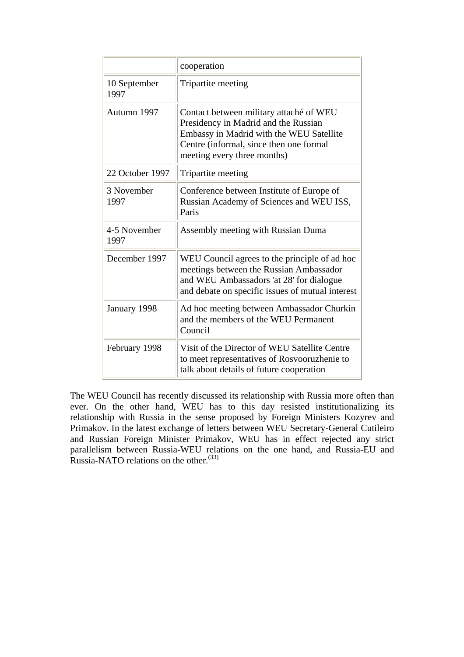|                      | cooperation                                                                                                                                                                                           |
|----------------------|-------------------------------------------------------------------------------------------------------------------------------------------------------------------------------------------------------|
| 10 September<br>1997 | Tripartite meeting                                                                                                                                                                                    |
| Autumn 1997          | Contact between military attaché of WEU<br>Presidency in Madrid and the Russian<br>Embassy in Madrid with the WEU Satellite<br>Centre (informal, since then one formal<br>meeting every three months) |
| 22 October 1997      | Tripartite meeting                                                                                                                                                                                    |
| 3 November<br>1997   | Conference between Institute of Europe of<br>Russian Academy of Sciences and WEU ISS,<br>Paris                                                                                                        |
| 4-5 November<br>1997 | Assembly meeting with Russian Duma                                                                                                                                                                    |
| December 1997        | WEU Council agrees to the principle of ad hoc<br>meetings between the Russian Ambassador<br>and WEU Ambassadors 'at 28' for dialogue<br>and debate on specific issues of mutual interest              |
| January 1998         | Ad hoc meeting between Ambassador Churkin<br>and the members of the WEU Permanent<br>Council                                                                                                          |
| February 1998        | Visit of the Director of WEU Satellite Centre<br>to meet representatives of Rosvooruzhenie to<br>talk about details of future cooperation                                                             |

The WEU Council has recently discussed its relationship with Russia more often than ever. On the other hand, WEU has to this day resisted institutionalizing its relationship with Russia in the sense proposed by Foreign Ministers Kozyrev and Primakov. In the latest exchange of letters between WEU Secretary-General Cutileiro and Russian Foreign Minister Primakov, WEU has in effect rejected any strict parallelism between Russia-WEU relations on the one hand, and Russia-EU and Russia-NATO relations on the other.<sup>(33)</sup>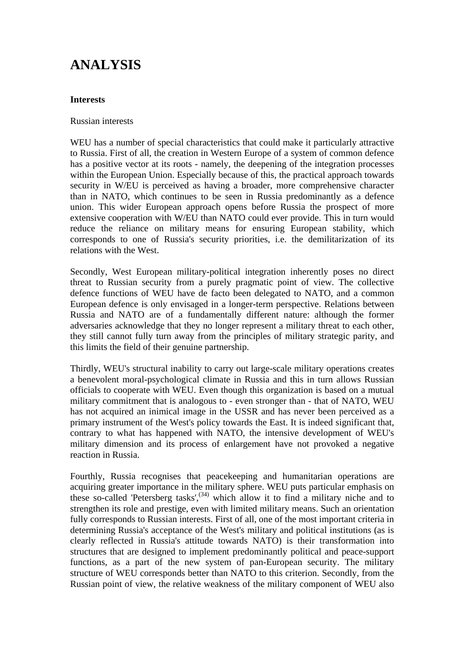## **ANALYSIS**

## **Interests**

## Russian interests

WEU has a number of special characteristics that could make it particularly attractive to Russia. First of all, the creation in Western Europe of a system of common defence has a positive vector at its roots - namely, the deepening of the integration processes within the European Union. Especially because of this, the practical approach towards security in W/EU is perceived as having a broader, more comprehensive character than in NATO, which continues to be seen in Russia predominantly as a defence union. This wider European approach opens before Russia the prospect of more extensive cooperation with W/EU than NATO could ever provide. This in turn would reduce the reliance on military means for ensuring European stability, which corresponds to one of Russia's security priorities, i.e. the demilitarization of its relations with the West.

Secondly, West European military-political integration inherently poses no direct threat to Russian security from a purely pragmatic point of view. The collective defence functions of WEU have de facto been delegated to NATO, and a common European defence is only envisaged in a longer-term perspective. Relations between Russia and NATO are of a fundamentally different nature: although the former adversaries acknowledge that they no longer represent a military threat to each other, they still cannot fully turn away from the principles of military strategic parity, and this limits the field of their genuine partnership.

Thirdly, WEU's structural inability to carry out large-scale military operations creates a benevolent moral-psychological climate in Russia and this in turn allows Russian officials to cooperate with WEU. Even though this organization is based on a mutual military commitment that is analogous to - even stronger than - that of NATO, WEU has not acquired an inimical image in the USSR and has never been perceived as a primary instrument of the West's policy towards the East. It is indeed significant that, contrary to what has happened with NATO, the intensive development of WEU's military dimension and its process of enlargement have not provoked a negative reaction in Russia.

Fourthly, Russia recognises that peacekeeping and humanitarian operations are acquiring greater importance in the military sphere. WEU puts particular emphasis on these so-called 'Petersberg tasks', $^{(34)}$  which allow it to find a military niche and to strengthen its role and prestige, even with limited military means. Such an orientation fully corresponds to Russian interests. First of all, one of the most important criteria in determining Russia's acceptance of the West's military and political institutions (as is clearly reflected in Russia's attitude towards NATO) is their transformation into structures that are designed to implement predominantly political and peace-support functions, as a part of the new system of pan-European security. The military structure of WEU corresponds better than NATO to this criterion. Secondly, from the Russian point of view, the relative weakness of the military component of WEU also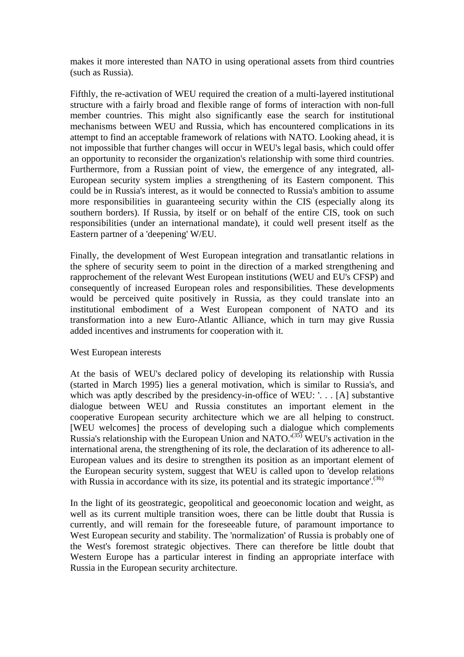makes it more interested than NATO in using operational assets from third countries (such as Russia).

Fifthly, the re-activation of WEU required the creation of a multi-layered institutional structure with a fairly broad and flexible range of forms of interaction with non-full member countries. This might also significantly ease the search for institutional mechanisms between WEU and Russia, which has encountered complications in its attempt to find an acceptable framework of relations with NATO. Looking ahead, it is not impossible that further changes will occur in WEU's legal basis, which could offer an opportunity to reconsider the organization's relationship with some third countries. Furthermore, from a Russian point of view, the emergence of any integrated, all-European security system implies a strengthening of its Eastern component. This could be in Russia's interest, as it would be connected to Russia's ambition to assume more responsibilities in guaranteeing security within the CIS (especially along its southern borders). If Russia, by itself or on behalf of the entire CIS, took on such responsibilities (under an international mandate), it could well present itself as the Eastern partner of a 'deepening' W/EU.

Finally, the development of West European integration and transatlantic relations in the sphere of security seem to point in the direction of a marked strengthening and rapprochement of the relevant West European institutions (WEU and EU's CFSP) and consequently of increased European roles and responsibilities. These developments would be perceived quite positively in Russia, as they could translate into an institutional embodiment of a West European component of NATO and its transformation into a new Euro-Atlantic Alliance, which in turn may give Russia added incentives and instruments for cooperation with it.

## West European interests

At the basis of WEU's declared policy of developing its relationship with Russia (started in March 1995) lies a general motivation, which is similar to Russia's, and which was aptly described by the presidency-in-office of WEU: '... [A] substantive dialogue between WEU and Russia constitutes an important element in the cooperative European security architecture which we are all helping to construct. [WEU welcomes] the process of developing such a dialogue which complements Russia's relationship with the European Union and NATO.<sup> $(35)$ </sup> WEU's activation in the international arena, the strengthening of its role, the declaration of its adherence to all-European values and its desire to strengthen its position as an important element of the European security system, suggest that WEU is called upon to 'develop relations with Russia in accordance with its size, its potential and its strategic importance'.<sup>(36)</sup>

In the light of its geostrategic, geopolitical and geoeconomic location and weight, as well as its current multiple transition woes, there can be little doubt that Russia is currently, and will remain for the foreseeable future, of paramount importance to West European security and stability. The 'normalization' of Russia is probably one of the West's foremost strategic objectives. There can therefore be little doubt that Western Europe has a particular interest in finding an appropriate interface with Russia in the European security architecture.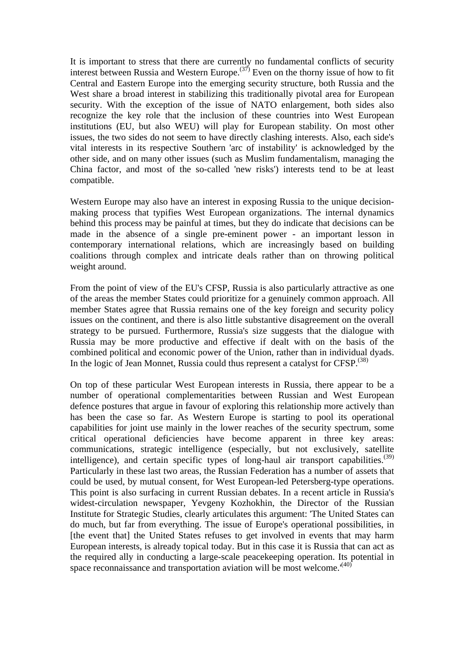It is important to stress that there are currently no fundamental conflicts of security interest between Russia and Western Europe.<sup> $(37)$ </sup> Even on the thorny issue of how to fit Central and Eastern Europe into the emerging security structure, both Russia and the West share a broad interest in stabilizing this traditionally pivotal area for European security. With the exception of the issue of NATO enlargement, both sides also recognize the key role that the inclusion of these countries into West European institutions (EU, but also WEU) will play for European stability. On most other issues, the two sides do not seem to have directly clashing interests. Also, each side's vital interests in its respective Southern 'arc of instability' is acknowledged by the other side, and on many other issues (such as Muslim fundamentalism, managing the China factor, and most of the so-called 'new risks') interests tend to be at least compatible.

Western Europe may also have an interest in exposing Russia to the unique decisionmaking process that typifies West European organizations. The internal dynamics behind this process may be painful at times, but they do indicate that decisions can be made in the absence of a single pre-eminent power - an important lesson in contemporary international relations, which are increasingly based on building coalitions through complex and intricate deals rather than on throwing political weight around.

From the point of view of the EU's CFSP, Russia is also particularly attractive as one of the areas the member States could prioritize for a genuinely common approach. All member States agree that Russia remains one of the key foreign and security policy issues on the continent, and there is also little substantive disagreement on the overall strategy to be pursued. Furthermore, Russia's size suggests that the dialogue with Russia may be more productive and effective if dealt with on the basis of the combined political and economic power of the Union, rather than in individual dyads. In the logic of Jean Monnet, Russia could thus represent a catalyst for  $CFSP<sub>1</sub><sup>(38)</sup>$ 

On top of these particular West European interests in Russia, there appear to be a number of operational complementarities between Russian and West European defence postures that argue in favour of exploring this relationship more actively than has been the case so far. As Western Europe is starting to pool its operational capabilities for joint use mainly in the lower reaches of the security spectrum, some critical operational deficiencies have become apparent in three key areas: communications, strategic intelligence (especially, but not exclusively, satellite intelligence), and certain specific types of long-haul air transport capabilities.<sup>(39)</sup> Particularly in these last two areas, the Russian Federation has a number of assets that could be used, by mutual consent, for West European-led Petersberg-type operations. This point is also surfacing in current Russian debates. In a recent article in Russia's widest-circulation newspaper, Yevgeny Kozhokhin, the Director of the Russian Institute for Strategic Studies, clearly articulates this argument: 'The United States can do much, but far from everything. The issue of Europe's operational possibilities, in [the event that] the United States refuses to get involved in events that may harm European interests, is already topical today. But in this case it is Russia that can act as the required ally in conducting a large-scale peacekeeping operation. Its potential in space reconnaissance and transportation aviation will be most welcome.<sup>'(40)</sup>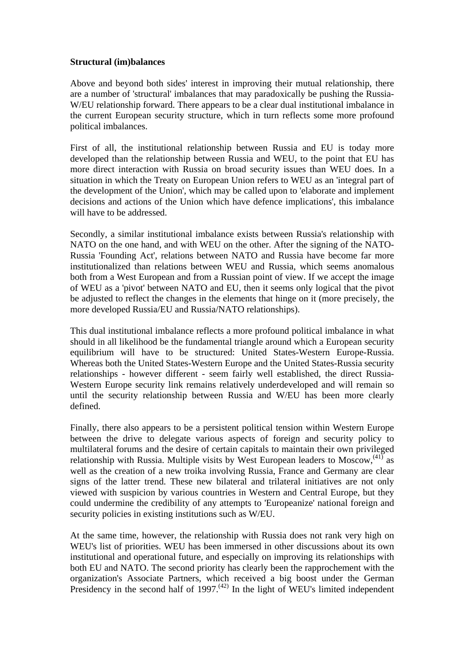## **Structural (im)balances**

Above and beyond both sides' interest in improving their mutual relationship, there are a number of 'structural' imbalances that may paradoxically be pushing the Russia-W/EU relationship forward. There appears to be a clear dual institutional imbalance in the current European security structure, which in turn reflects some more profound political imbalances.

First of all, the institutional relationship between Russia and EU is today more developed than the relationship between Russia and WEU, to the point that EU has more direct interaction with Russia on broad security issues than WEU does. In a situation in which the Treaty on European Union refers to WEU as an 'integral part of the development of the Union', which may be called upon to 'elaborate and implement decisions and actions of the Union which have defence implications', this imbalance will have to be addressed.

Secondly, a similar institutional imbalance exists between Russia's relationship with NATO on the one hand, and with WEU on the other. After the signing of the NATO-Russia 'Founding Act', relations between NATO and Russia have become far more institutionalized than relations between WEU and Russia, which seems anomalous both from a West European and from a Russian point of view. If we accept the image of WEU as a 'pivot' between NATO and EU, then it seems only logical that the pivot be adjusted to reflect the changes in the elements that hinge on it (more precisely, the more developed Russia/EU and Russia/NATO relationships).

This dual institutional imbalance reflects a more profound political imbalance in what should in all likelihood be the fundamental triangle around which a European security equilibrium will have to be structured: United States-Western Europe-Russia. Whereas both the United States-Western Europe and the United States-Russia security relationships - however different - seem fairly well established, the direct Russia-Western Europe security link remains relatively underdeveloped and will remain so until the security relationship between Russia and W/EU has been more clearly defined.

Finally, there also appears to be a persistent political tension within Western Europe between the drive to delegate various aspects of foreign and security policy to multilateral forums and the desire of certain capitals to maintain their own privileged relationship with Russia. Multiple visits by West European leaders to Moscow,  $^{(41)}$  as well as the creation of a new troika involving Russia, France and Germany are clear signs of the latter trend. These new bilateral and trilateral initiatives are not only viewed with suspicion by various countries in Western and Central Europe, but they could undermine the credibility of any attempts to 'Europeanize' national foreign and security policies in existing institutions such as W/EU.

At the same time, however, the relationship with Russia does not rank very high on WEU's list of priorities. WEU has been immersed in other discussions about its own institutional and operational future, and especially on improving its relationships with both EU and NATO. The second priority has clearly been the rapprochement with the organization's Associate Partners, which received a big boost under the German Presidency in the second half of  $1997$ .<sup>(42)</sup> In the light of WEU's limited independent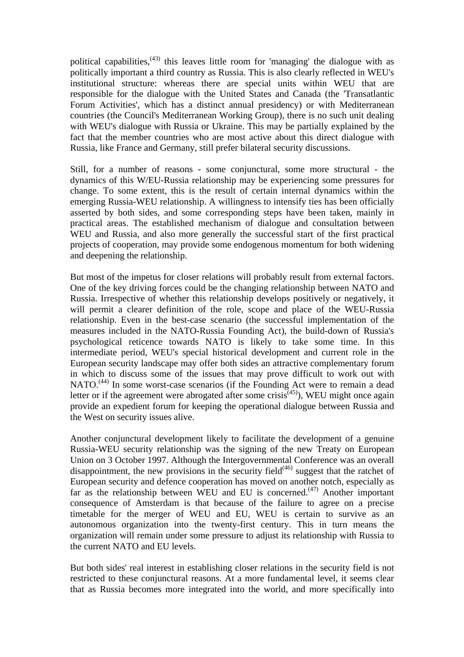political capabilities,  $(43)$  this leaves little room for 'managing' the dialogue with as politically important a third country as Russia. This is also clearly reflected in WEU's institutional structure: whereas there are special units within WEU that are responsible for the dialogue with the United States and Canada (the 'Transatlantic Forum Activities', which has a distinct annual presidency) or with Mediterranean countries (the Council's Mediterranean Working Group), there is no such unit dealing with WEU's dialogue with Russia or Ukraine. This may be partially explained by the fact that the member countries who are most active about this direct dialogue with Russia, like France and Germany, still prefer bilateral security discussions.

Still, for a number of reasons - some conjunctural, some more structural - the dynamics of this W/EU-Russia relationship may be experiencing some pressures for change. To some extent, this is the result of certain internal dynamics within the emerging Russia-WEU relationship. A willingness to intensify ties has been officially asserted by both sides, and some corresponding steps have been taken, mainly in practical areas. The established mechanism of dialogue and consultation between WEU and Russia, and also more generally the successful start of the first practical projects of cooperation, may provide some endogenous momentum for both widening and deepening the relationship.

But most of the impetus for closer relations will probably result from external factors. One of the key driving forces could be the changing relationship between NATO and Russia. Irrespective of whether this relationship develops positively or negatively, it will permit a clearer definition of the role, scope and place of the WEU-Russia relationship. Even in the best-case scenario (the successful implementation of the measures included in the NATO-Russia Founding Act), the build-down of Russia's psychological reticence towards NATO is likely to take some time. In this intermediate period, WEU's special historical development and current role in the European security landscape may offer both sides an attractive complementary forum in which to discuss some of the issues that may prove difficult to work out with NATO.<sup>(44)</sup> In some worst-case scenarios (if the Founding Act were to remain a dead letter or if the agreement were abrogated after some crisis<sup> $(45)$ </sup>), WEU might once again provide an expedient forum for keeping the operational dialogue between Russia and the West on security issues alive.

Another conjunctural development likely to facilitate the development of a genuine Russia-WEU security relationship was the signing of the new Treaty on European Union on 3 October 1997. Although the Intergovernmental Conference was an overall disappointment, the new provisions in the security field<sup> $(46)$ </sup> suggest that the ratchet of European security and defence cooperation has moved on another notch, especially as far as the relationship between WEU and EU is concerned.<sup> $(47)$ </sup> Another important consequence of Amsterdam is that because of the failure to agree on a precise timetable for the merger of WEU and EU, WEU is certain to survive as an autonomous organization into the twenty-first century. This in turn means the organization will remain under some pressure to adjust its relationship with Russia to the current NATO and EU levels.

But both sides' real interest in establishing closer relations in the security field is not restricted to these conjunctural reasons. At a more fundamental level, it seems clear that as Russia becomes more integrated into the world, and more specifically into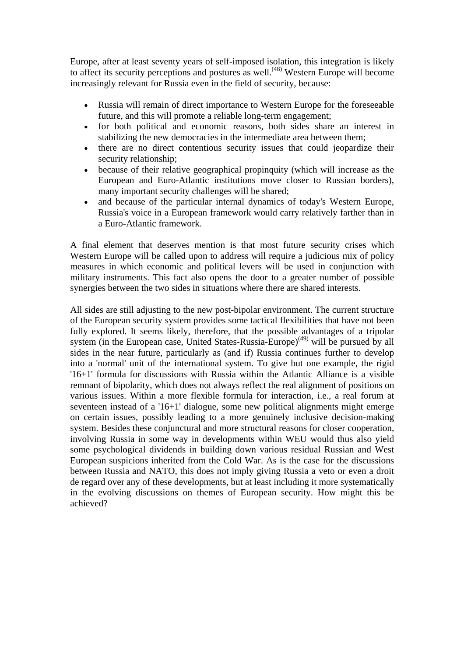Europe, after at least seventy years of self-imposed isolation, this integration is likely to affect its security perceptions and postures as well.<sup> $(48)$ </sup> Western Europe will become increasingly relevant for Russia even in the field of security, because:

- Russia will remain of direct importance to Western Europe for the foreseeable future, and this will promote a reliable long-term engagement;
- for both political and economic reasons, both sides share an interest in stabilizing the new democracies in the intermediate area between them;
- there are no direct contentious security issues that could jeopardize their security relationship;
- because of their relative geographical propinquity (which will increase as the European and Euro-Atlantic institutions move closer to Russian borders), many important security challenges will be shared;
- and because of the particular internal dynamics of today's Western Europe, Russia's voice in a European framework would carry relatively farther than in a Euro-Atlantic framework.

A final element that deserves mention is that most future security crises which Western Europe will be called upon to address will require a judicious mix of policy measures in which economic and political levers will be used in conjunction with military instruments. This fact also opens the door to a greater number of possible synergies between the two sides in situations where there are shared interests.

All sides are still adjusting to the new post-bipolar environment. The current structure of the European security system provides some tactical flexibilities that have not been fully explored. It seems likely, therefore, that the possible advantages of a tripolar system (in the European case, United States-Russia-Europe)<sup>(49)</sup> will be pursued by all sides in the near future, particularly as (and if) Russia continues further to develop into a 'normal' unit of the international system. To give but one example, the rigid '16+1' formula for discussions with Russia within the Atlantic Alliance is a visible remnant of bipolarity, which does not always reflect the real alignment of positions on various issues. Within a more flexible formula for interaction, i.e., a real forum at seventeen instead of a '16+1' dialogue, some new political alignments might emerge on certain issues, possibly leading to a more genuinely inclusive decision-making system. Besides these conjunctural and more structural reasons for closer cooperation, involving Russia in some way in developments within WEU would thus also yield some psychological dividends in building down various residual Russian and West European suspicions inherited from the Cold War. As is the case for the discussions between Russia and NATO, this does not imply giving Russia a veto or even a droit de regard over any of these developments, but at least including it more systematically in the evolving discussions on themes of European security. How might this be achieved?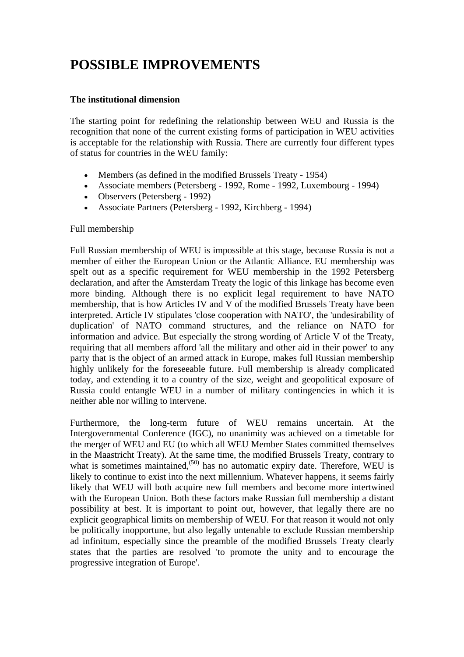# **POSSIBLE IMPROVEMENTS**

## **The institutional dimension**

The starting point for redefining the relationship between WEU and Russia is the recognition that none of the current existing forms of participation in WEU activities is acceptable for the relationship with Russia. There are currently four different types of status for countries in the WEU family:

- Members (as defined in the modified Brussels Treaty 1954)
- Associate members (Petersberg 1992, Rome 1992, Luxembourg 1994)
- Observers (Petersberg 1992)
- Associate Partners (Petersberg 1992, Kirchberg 1994)

## Full membership

Full Russian membership of WEU is impossible at this stage, because Russia is not a member of either the European Union or the Atlantic Alliance. EU membership was spelt out as a specific requirement for WEU membership in the 1992 Petersberg declaration, and after the Amsterdam Treaty the logic of this linkage has become even more binding. Although there is no explicit legal requirement to have NATO membership, that is how Articles IV and V of the modified Brussels Treaty have been interpreted. Article IV stipulates 'close cooperation with NATO', the 'undesirability of duplication' of NATO command structures, and the reliance on NATO for information and advice. But especially the strong wording of Article V of the Treaty, requiring that all members afford 'all the military and other aid in their power' to any party that is the object of an armed attack in Europe, makes full Russian membership highly unlikely for the foreseeable future. Full membership is already complicated today, and extending it to a country of the size, weight and geopolitical exposure of Russia could entangle WEU in a number of military contingencies in which it is neither able nor willing to intervene.

Furthermore, the long-term future of WEU remains uncertain. At the Intergovernmental Conference (IGC), no unanimity was achieved on a timetable for the merger of WEU and EU (to which all WEU Member States committed themselves in the Maastricht Treaty). At the same time, the modified Brussels Treaty, contrary to what is sometimes maintained.<sup> $(50)$ </sup> has no automatic expiry date. Therefore, WEU is likely to continue to exist into the next millennium. Whatever happens, it seems fairly likely that WEU will both acquire new full members and become more intertwined with the European Union. Both these factors make Russian full membership a distant possibility at best. It is important to point out, however, that legally there are no explicit geographical limits on membership of WEU. For that reason it would not only be politically inopportune, but also legally untenable to exclude Russian membership ad infinitum, especially since the preamble of the modified Brussels Treaty clearly states that the parties are resolved 'to promote the unity and to encourage the progressive integration of Europe'.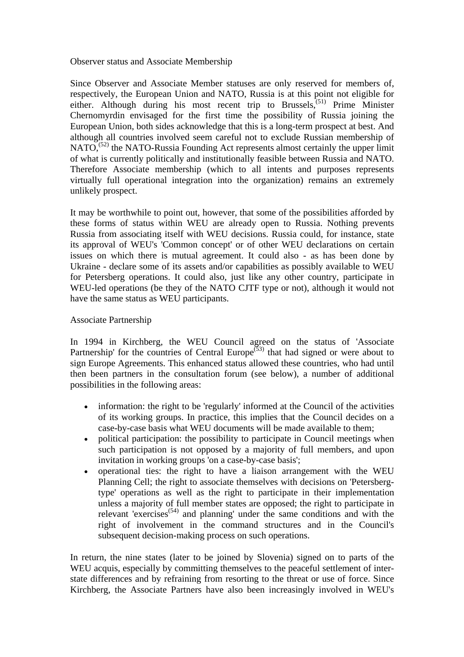Observer status and Associate Membership

Since Observer and Associate Member statuses are only reserved for members of, respectively, the European Union and NATO, Russia is at this point not eligible for either. Although during his most recent trip to Brussels,<sup>(51)</sup> Prime Minister Chernomyrdin envisaged for the first time the possibility of Russia joining the European Union, both sides acknowledge that this is a long-term prospect at best. And although all countries involved seem careful not to exclude Russian membership of  $NATO<sub>1</sub><sup>(52)</sup>$  the NATO-Russia Founding Act represents almost certainly the upper limit of what is currently politically and institutionally feasible between Russia and NATO. Therefore Associate membership (which to all intents and purposes represents virtually full operational integration into the organization) remains an extremely unlikely prospect.

It may be worthwhile to point out, however, that some of the possibilities afforded by these forms of status within WEU are already open to Russia. Nothing prevents Russia from associating itself with WEU decisions. Russia could, for instance, state its approval of WEU's 'Common concept' or of other WEU declarations on certain issues on which there is mutual agreement. It could also - as has been done by Ukraine - declare some of its assets and/or capabilities as possibly available to WEU for Petersberg operations. It could also, just like any other country, participate in WEU-led operations (be they of the NATO CJTF type or not), although it would not have the same status as WEU participants.

Associate Partnership

In 1994 in Kirchberg, the WEU Council agreed on the status of 'Associate Partnership' for the countries of Central Europe<sup> $(53)$ </sup> that had signed or were about to sign Europe Agreements. This enhanced status allowed these countries, who had until then been partners in the consultation forum (see below), a number of additional possibilities in the following areas:

- information: the right to be 'regularly' informed at the Council of the activities of its working groups. In practice, this implies that the Council decides on a case-by-case basis what WEU documents will be made available to them;
- political participation: the possibility to participate in Council meetings when such participation is not opposed by a majority of full members, and upon invitation in working groups 'on a case-by-case basis';
- operational ties: the right to have a liaison arrangement with the WEU Planning Cell; the right to associate themselves with decisions on 'Petersbergtype' operations as well as the right to participate in their implementation unless a majority of full member states are opposed; the right to participate in relevant 'exercises<sup> $(54)$ </sup> and planning' under the same conditions and with the right of involvement in the command structures and in the Council's subsequent decision-making process on such operations.

In return, the nine states (later to be joined by Slovenia) signed on to parts of the WEU acquis, especially by committing themselves to the peaceful settlement of interstate differences and by refraining from resorting to the threat or use of force. Since Kirchberg, the Associate Partners have also been increasingly involved in WEU's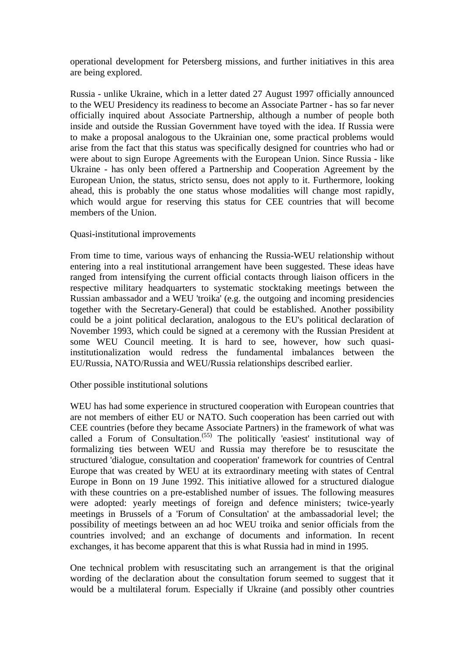operational development for Petersberg missions, and further initiatives in this area are being explored.

Russia - unlike Ukraine, which in a letter dated 27 August 1997 officially announced to the WEU Presidency its readiness to become an Associate Partner - has so far never officially inquired about Associate Partnership, although a number of people both inside and outside the Russian Government have toyed with the idea. If Russia were to make a proposal analogous to the Ukrainian one, some practical problems would arise from the fact that this status was specifically designed for countries who had or were about to sign Europe Agreements with the European Union. Since Russia - like Ukraine - has only been offered a Partnership and Cooperation Agreement by the European Union, the status, stricto sensu, does not apply to it. Furthermore, looking ahead, this is probably the one status whose modalities will change most rapidly, which would argue for reserving this status for CEE countries that will become members of the Union.

#### Quasi-institutional improvements

From time to time, various ways of enhancing the Russia-WEU relationship without entering into a real institutional arrangement have been suggested. These ideas have ranged from intensifying the current official contacts through liaison officers in the respective military headquarters to systematic stocktaking meetings between the Russian ambassador and a WEU 'troika' (e.g. the outgoing and incoming presidencies together with the Secretary-General) that could be established. Another possibility could be a joint political declaration, analogous to the EU's political declaration of November 1993, which could be signed at a ceremony with the Russian President at some WEU Council meeting. It is hard to see, however, how such quasiinstitutionalization would redress the fundamental imbalances between the EU/Russia, NATO/Russia and WEU/Russia relationships described earlier.

## Other possible institutional solutions

WEU has had some experience in structured cooperation with European countries that are not members of either EU or NATO. Such cooperation has been carried out with CEE countries (before they became Associate Partners) in the framework of what was called a Forum of Consultation.<sup>(55)</sup> The politically 'easiest' institutional way of formalizing ties between WEU and Russia may therefore be to resuscitate the structured 'dialogue, consultation and cooperation' framework for countries of Central Europe that was created by WEU at its extraordinary meeting with states of Central Europe in Bonn on 19 June 1992. This initiative allowed for a structured dialogue with these countries on a pre-established number of issues. The following measures were adopted: yearly meetings of foreign and defence ministers; twice-yearly meetings in Brussels of a 'Forum of Consultation' at the ambassadorial level; the possibility of meetings between an ad hoc WEU troika and senior officials from the countries involved; and an exchange of documents and information. In recent exchanges, it has become apparent that this is what Russia had in mind in 1995.

One technical problem with resuscitating such an arrangement is that the original wording of the declaration about the consultation forum seemed to suggest that it would be a multilateral forum. Especially if Ukraine (and possibly other countries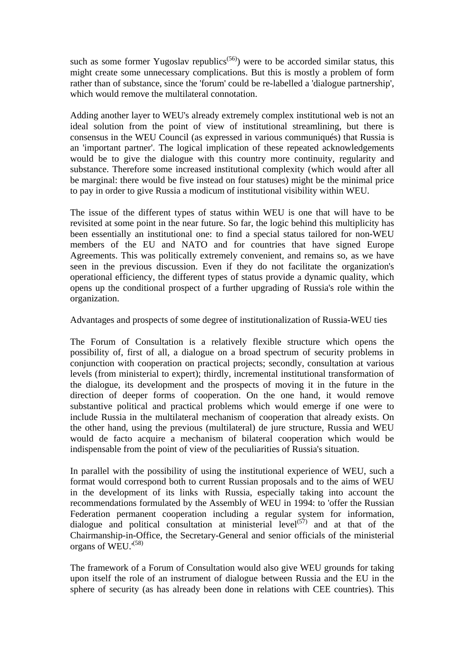such as some former Yugoslav republics<sup> $(56)$ </sup>) were to be accorded similar status, this might create some unnecessary complications. But this is mostly a problem of form rather than of substance, since the 'forum' could be re-labelled a 'dialogue partnership', which would remove the multilateral connotation.

Adding another layer to WEU's already extremely complex institutional web is not an ideal solution from the point of view of institutional streamlining, but there is consensus in the WEU Council (as expressed in various communiqués) that Russia is an 'important partner'. The logical implication of these repeated acknowledgements would be to give the dialogue with this country more continuity, regularity and substance. Therefore some increased institutional complexity (which would after all be marginal: there would be five instead on four statuses) might be the minimal price to pay in order to give Russia a modicum of institutional visibility within WEU.

The issue of the different types of status within WEU is one that will have to be revisited at some point in the near future. So far, the logic behind this multiplicity has been essentially an institutional one: to find a special status tailored for non-WEU members of the EU and NATO and for countries that have signed Europe Agreements. This was politically extremely convenient, and remains so, as we have seen in the previous discussion. Even if they do not facilitate the organization's operational efficiency, the different types of status provide a dynamic quality, which opens up the conditional prospect of a further upgrading of Russia's role within the organization.

Advantages and prospects of some degree of institutionalization of Russia-WEU ties

The Forum of Consultation is a relatively flexible structure which opens the possibility of, first of all, a dialogue on a broad spectrum of security problems in conjunction with cooperation on practical projects; secondly, consultation at various levels (from ministerial to expert); thirdly, incremental institutional transformation of the dialogue, its development and the prospects of moving it in the future in the direction of deeper forms of cooperation. On the one hand, it would remove substantive political and practical problems which would emerge if one were to include Russia in the multilateral mechanism of cooperation that already exists. On the other hand, using the previous (multilateral) de jure structure, Russia and WEU would de facto acquire a mechanism of bilateral cooperation which would be indispensable from the point of view of the peculiarities of Russia's situation.

In parallel with the possibility of using the institutional experience of WEU, such a format would correspond both to current Russian proposals and to the aims of WEU in the development of its links with Russia, especially taking into account the recommendations formulated by the Assembly of WEU in 1994: to 'offer the Russian Federation permanent cooperation including a regular system for information, dialogue and political consultation at ministerial level<sup>(57)</sup> and at that of the Chairmanship-in-Office, the Secretary-General and senior officials of the ministerial organs of WEU.'(58)

The framework of a Forum of Consultation would also give WEU grounds for taking upon itself the role of an instrument of dialogue between Russia and the EU in the sphere of security (as has already been done in relations with CEE countries). This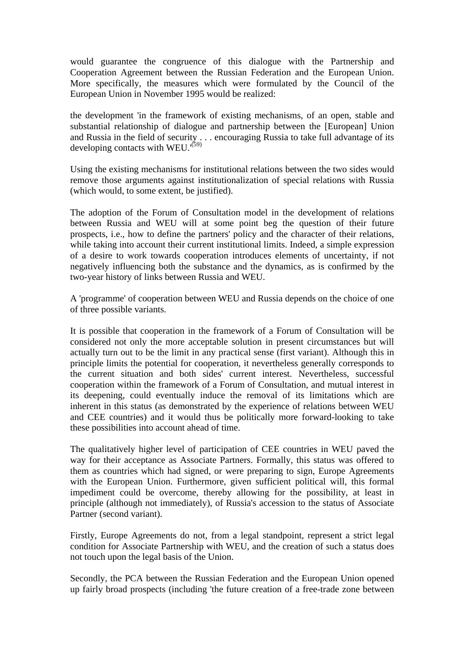would guarantee the congruence of this dialogue with the Partnership and Cooperation Agreement between the Russian Federation and the European Union. More specifically, the measures which were formulated by the Council of the European Union in November 1995 would be realized:

the development 'in the framework of existing mechanisms, of an open, stable and substantial relationship of dialogue and partnership between the [European] Union and Russia in the field of security . . . encouraging Russia to take full advantage of its developing contacts with WEU.<sup>'(59)</sup>

Using the existing mechanisms for institutional relations between the two sides would remove those arguments against institutionalization of special relations with Russia (which would, to some extent, be justified).

The adoption of the Forum of Consultation model in the development of relations between Russia and WEU will at some point beg the question of their future prospects, i.e., how to define the partners' policy and the character of their relations, while taking into account their current institutional limits. Indeed, a simple expression of a desire to work towards cooperation introduces elements of uncertainty, if not negatively influencing both the substance and the dynamics, as is confirmed by the two-year history of links between Russia and WEU.

A 'programme' of cooperation between WEU and Russia depends on the choice of one of three possible variants.

It is possible that cooperation in the framework of a Forum of Consultation will be considered not only the more acceptable solution in present circumstances but will actually turn out to be the limit in any practical sense (first variant). Although this in principle limits the potential for cooperation, it nevertheless generally corresponds to the current situation and both sides' current interest. Nevertheless, successful cooperation within the framework of a Forum of Consultation, and mutual interest in its deepening, could eventually induce the removal of its limitations which are inherent in this status (as demonstrated by the experience of relations between WEU and CEE countries) and it would thus be politically more forward-looking to take these possibilities into account ahead of time.

The qualitatively higher level of participation of CEE countries in WEU paved the way for their acceptance as Associate Partners. Formally, this status was offered to them as countries which had signed, or were preparing to sign, Europe Agreements with the European Union. Furthermore, given sufficient political will, this formal impediment could be overcome, thereby allowing for the possibility, at least in principle (although not immediately), of Russia's accession to the status of Associate Partner (second variant).

Firstly, Europe Agreements do not, from a legal standpoint, represent a strict legal condition for Associate Partnership with WEU, and the creation of such a status does not touch upon the legal basis of the Union.

Secondly, the PCA between the Russian Federation and the European Union opened up fairly broad prospects (including 'the future creation of a free-trade zone between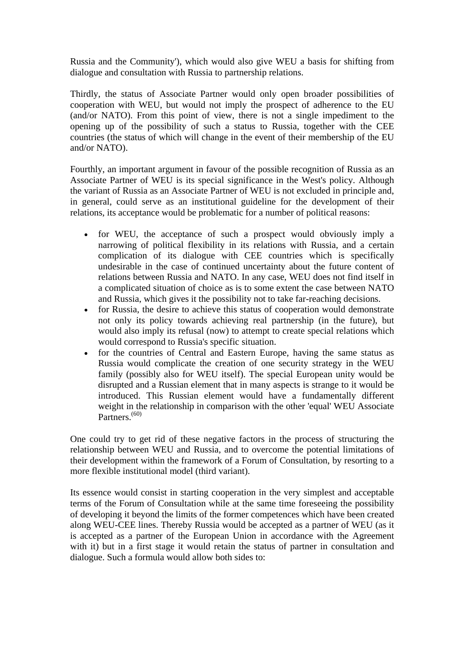Russia and the Community'), which would also give WEU a basis for shifting from dialogue and consultation with Russia to partnership relations.

Thirdly, the status of Associate Partner would only open broader possibilities of cooperation with WEU, but would not imply the prospect of adherence to the EU (and/or NATO). From this point of view, there is not a single impediment to the opening up of the possibility of such a status to Russia, together with the CEE countries (the status of which will change in the event of their membership of the EU and/or NATO).

Fourthly, an important argument in favour of the possible recognition of Russia as an Associate Partner of WEU is its special significance in the West's policy. Although the variant of Russia as an Associate Partner of WEU is not excluded in principle and, in general, could serve as an institutional guideline for the development of their relations, its acceptance would be problematic for a number of political reasons:

- for WEU, the acceptance of such a prospect would obviously imply a narrowing of political flexibility in its relations with Russia, and a certain complication of its dialogue with CEE countries which is specifically undesirable in the case of continued uncertainty about the future content of relations between Russia and NATO. In any case, WEU does not find itself in a complicated situation of choice as is to some extent the case between NATO and Russia, which gives it the possibility not to take far-reaching decisions.
- for Russia, the desire to achieve this status of cooperation would demonstrate not only its policy towards achieving real partnership (in the future), but would also imply its refusal (now) to attempt to create special relations which would correspond to Russia's specific situation.
- for the countries of Central and Eastern Europe, having the same status as Russia would complicate the creation of one security strategy in the WEU family (possibly also for WEU itself). The special European unity would be disrupted and a Russian element that in many aspects is strange to it would be introduced. This Russian element would have a fundamentally different weight in the relationship in comparison with the other 'equal' WEU Associate Partners<sup>(60)</sup>

One could try to get rid of these negative factors in the process of structuring the relationship between WEU and Russia, and to overcome the potential limitations of their development within the framework of a Forum of Consultation, by resorting to a more flexible institutional model (third variant).

Its essence would consist in starting cooperation in the very simplest and acceptable terms of the Forum of Consultation while at the same time foreseeing the possibility of developing it beyond the limits of the former competences which have been created along WEU-CEE lines. Thereby Russia would be accepted as a partner of WEU (as it is accepted as a partner of the European Union in accordance with the Agreement with it) but in a first stage it would retain the status of partner in consultation and dialogue. Such a formula would allow both sides to: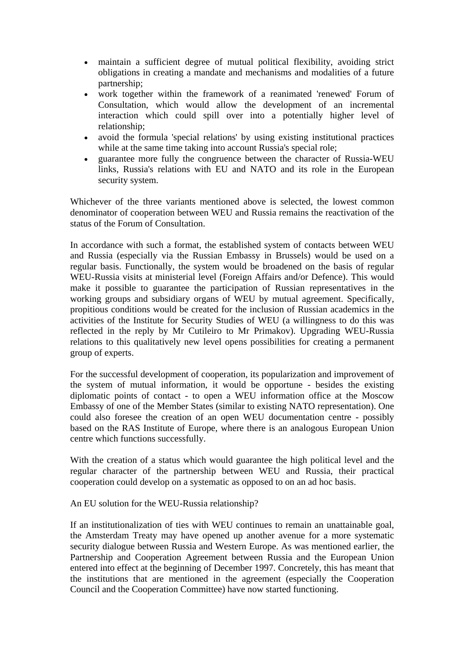- maintain a sufficient degree of mutual political flexibility, avoiding strict obligations in creating a mandate and mechanisms and modalities of a future partnership;
- work together within the framework of a reanimated 'renewed' Forum of Consultation, which would allow the development of an incremental interaction which could spill over into a potentially higher level of relationship;
- avoid the formula 'special relations' by using existing institutional practices while at the same time taking into account Russia's special role;
- guarantee more fully the congruence between the character of Russia-WEU links, Russia's relations with EU and NATO and its role in the European security system.

Whichever of the three variants mentioned above is selected, the lowest common denominator of cooperation between WEU and Russia remains the reactivation of the status of the Forum of Consultation.

In accordance with such a format, the established system of contacts between WEU and Russia (especially via the Russian Embassy in Brussels) would be used on a regular basis. Functionally, the system would be broadened on the basis of regular WEU-Russia visits at ministerial level (Foreign Affairs and/or Defence). This would make it possible to guarantee the participation of Russian representatives in the working groups and subsidiary organs of WEU by mutual agreement. Specifically, propitious conditions would be created for the inclusion of Russian academics in the activities of the Institute for Security Studies of WEU (a willingness to do this was reflected in the reply by Mr Cutileiro to Mr Primakov). Upgrading WEU-Russia relations to this qualitatively new level opens possibilities for creating a permanent group of experts.

For the successful development of cooperation, its popularization and improvement of the system of mutual information, it would be opportune - besides the existing diplomatic points of contact - to open a WEU information office at the Moscow Embassy of one of the Member States (similar to existing NATO representation). One could also foresee the creation of an open WEU documentation centre - possibly based on the RAS Institute of Europe, where there is an analogous European Union centre which functions successfully.

With the creation of a status which would guarantee the high political level and the regular character of the partnership between WEU and Russia, their practical cooperation could develop on a systematic as opposed to on an ad hoc basis.

An EU solution for the WEU-Russia relationship?

If an institutionalization of ties with WEU continues to remain an unattainable goal, the Amsterdam Treaty may have opened up another avenue for a more systematic security dialogue between Russia and Western Europe. As was mentioned earlier, the Partnership and Cooperation Agreement between Russia and the European Union entered into effect at the beginning of December 1997. Concretely, this has meant that the institutions that are mentioned in the agreement (especially the Cooperation Council and the Cooperation Committee) have now started functioning.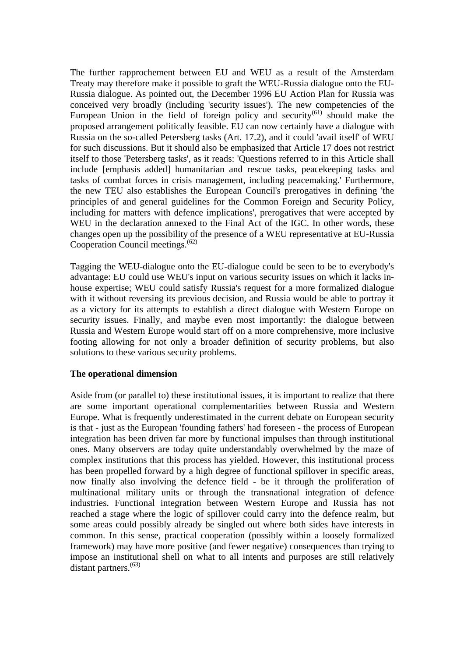The further rapprochement between EU and WEU as a result of the Amsterdam Treaty may therefore make it possible to graft the WEU-Russia dialogue onto the EU-Russia dialogue. As pointed out, the December 1996 EU Action Plan for Russia was conceived very broadly (including 'security issues'). The new competencies of the European Union in the field of foreign policy and security<sup> $(61)$ </sup> should make the proposed arrangement politically feasible. EU can now certainly have a dialogue with Russia on the so-called Petersberg tasks (Art. 17.2), and it could 'avail itself' of WEU for such discussions. But it should also be emphasized that Article 17 does not restrict itself to those 'Petersberg tasks', as it reads: 'Questions referred to in this Article shall include [emphasis added] humanitarian and rescue tasks, peacekeeping tasks and tasks of combat forces in crisis management, including peacemaking.' Furthermore, the new TEU also establishes the European Council's prerogatives in defining 'the principles of and general guidelines for the Common Foreign and Security Policy, including for matters with defence implications', prerogatives that were accepted by WEU in the declaration annexed to the Final Act of the IGC. In other words, these changes open up the possibility of the presence of a WEU representative at EU-Russia Cooperation Council meetings.(62)

Tagging the WEU-dialogue onto the EU-dialogue could be seen to be to everybody's advantage: EU could use WEU's input on various security issues on which it lacks inhouse expertise; WEU could satisfy Russia's request for a more formalized dialogue with it without reversing its previous decision, and Russia would be able to portray it as a victory for its attempts to establish a direct dialogue with Western Europe on security issues. Finally, and maybe even most importantly: the dialogue between Russia and Western Europe would start off on a more comprehensive, more inclusive footing allowing for not only a broader definition of security problems, but also solutions to these various security problems.

## **The operational dimension**

Aside from (or parallel to) these institutional issues, it is important to realize that there are some important operational complementarities between Russia and Western Europe. What is frequently underestimated in the current debate on European security is that - just as the European 'founding fathers' had foreseen - the process of European integration has been driven far more by functional impulses than through institutional ones. Many observers are today quite understandably overwhelmed by the maze of complex institutions that this process has yielded. However, this institutional process has been propelled forward by a high degree of functional spillover in specific areas, now finally also involving the defence field - be it through the proliferation of multinational military units or through the transnational integration of defence industries. Functional integration between Western Europe and Russia has not reached a stage where the logic of spillover could carry into the defence realm, but some areas could possibly already be singled out where both sides have interests in common. In this sense, practical cooperation (possibly within a loosely formalized framework) may have more positive (and fewer negative) consequences than trying to impose an institutional shell on what to all intents and purposes are still relatively distant partners.<sup>(63)</sup>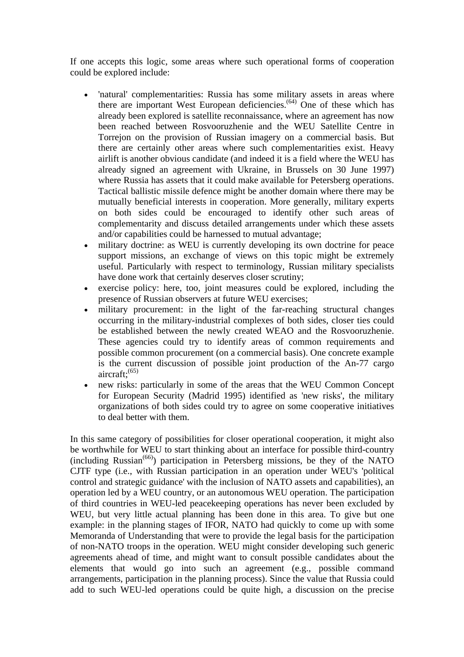If one accepts this logic, some areas where such operational forms of cooperation could be explored include:

- 'natural' complementarities: Russia has some military assets in areas where there are important West European deficiencies.<sup> $(64)$ </sup> One of these which has already been explored is satellite reconnaissance, where an agreement has now been reached between Rosvooruzhenie and the WEU Satellite Centre in Torrejon on the provision of Russian imagery on a commercial basis. But there are certainly other areas where such complementarities exist. Heavy airlift is another obvious candidate (and indeed it is a field where the WEU has already signed an agreement with Ukraine, in Brussels on 30 June 1997) where Russia has assets that it could make available for Petersberg operations. Tactical ballistic missile defence might be another domain where there may be mutually beneficial interests in cooperation. More generally, military experts on both sides could be encouraged to identify other such areas of complementarity and discuss detailed arrangements under which these assets and/or capabilities could be harnessed to mutual advantage;
- military doctrine: as WEU is currently developing its own doctrine for peace support missions, an exchange of views on this topic might be extremely useful. Particularly with respect to terminology, Russian military specialists have done work that certainly deserves closer scrutiny;
- exercise policy: here, too, joint measures could be explored, including the presence of Russian observers at future WEU exercises;
- military procurement: in the light of the far-reaching structural changes occurring in the military-industrial complexes of both sides, closer ties could be established between the newly created WEAO and the Rosvooruzhenie. These agencies could try to identify areas of common requirements and possible common procurement (on a commercial basis). One concrete example is the current discussion of possible joint production of the An-77 cargo aircraft: $(65)$
- new risks: particularly in some of the areas that the WEU Common Concept for European Security (Madrid 1995) identified as 'new risks', the military organizations of both sides could try to agree on some cooperative initiatives to deal better with them.

In this same category of possibilities for closer operational cooperation, it might also be worthwhile for WEU to start thinking about an interface for possible third-country (including Russian<sup> $(66)$ </sup>) participation in Petersberg missions, be they of the NATO CJTF type (i.e., with Russian participation in an operation under WEU's 'political control and strategic guidance' with the inclusion of NATO assets and capabilities), an operation led by a WEU country, or an autonomous WEU operation. The participation of third countries in WEU-led peacekeeping operations has never been excluded by WEU, but very little actual planning has been done in this area. To give but one example: in the planning stages of IFOR, NATO had quickly to come up with some Memoranda of Understanding that were to provide the legal basis for the participation of non-NATO troops in the operation. WEU might consider developing such generic agreements ahead of time, and might want to consult possible candidates about the elements that would go into such an agreement (e.g., possible command arrangements, participation in the planning process). Since the value that Russia could add to such WEU-led operations could be quite high, a discussion on the precise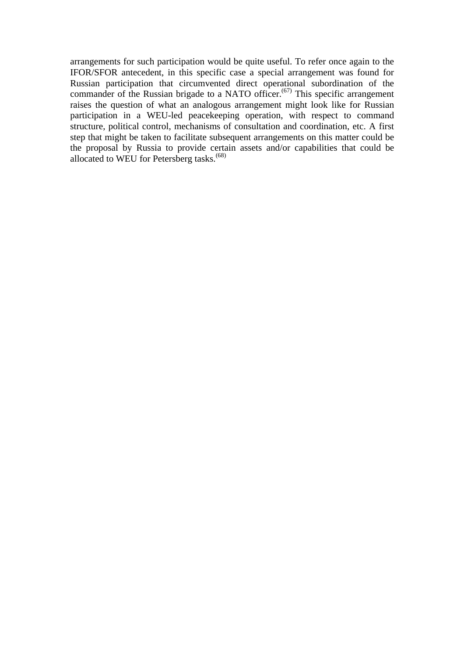arrangements for such participation would be quite useful. To refer once again to the IFOR/SFOR antecedent, in this specific case a special arrangement was found for Russian participation that circumvented direct operational subordination of the commander of the Russian brigade to a NATO officer.<sup> $(67)$ </sup> This specific arrangement raises the question of what an analogous arrangement might look like for Russian participation in a WEU-led peacekeeping operation, with respect to command structure, political control, mechanisms of consultation and coordination, etc. A first step that might be taken to facilitate subsequent arrangements on this matter could be the proposal by Russia to provide certain assets and/or capabilities that could be allocated to WEU for Petersberg tasks.<sup>(68)</sup>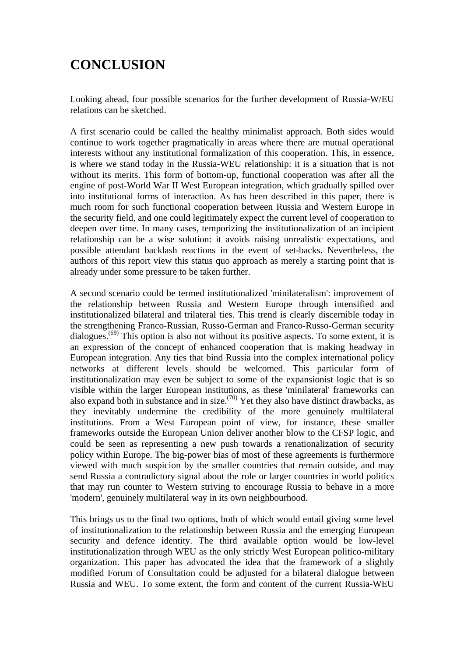# **CONCLUSION**

Looking ahead, four possible scenarios for the further development of Russia-W/EU relations can be sketched.

A first scenario could be called the healthy minimalist approach. Both sides would continue to work together pragmatically in areas where there are mutual operational interests without any institutional formalization of this cooperation. This, in essence, is where we stand today in the Russia-WEU relationship: it is a situation that is not without its merits. This form of bottom-up, functional cooperation was after all the engine of post-World War II West European integration, which gradually spilled over into institutional forms of interaction. As has been described in this paper, there is much room for such functional cooperation between Russia and Western Europe in the security field, and one could legitimately expect the current level of cooperation to deepen over time. In many cases, temporizing the institutionalization of an incipient relationship can be a wise solution: it avoids raising unrealistic expectations, and possible attendant backlash reactions in the event of set-backs. Nevertheless, the authors of this report view this status quo approach as merely a starting point that is already under some pressure to be taken further.

A second scenario could be termed institutionalized 'minilateralism': improvement of the relationship between Russia and Western Europe through intensified and institutionalized bilateral and trilateral ties. This trend is clearly discernible today in the strengthening Franco-Russian, Russo-German and Franco-Russo-German security dialogues.<sup> $(69)$ </sup> This option is also not without its positive aspects. To some extent, it is an expression of the concept of enhanced cooperation that is making headway in European integration. Any ties that bind Russia into the complex international policy networks at different levels should be welcomed. This particular form of institutionalization may even be subject to some of the expansionist logic that is so visible within the larger European institutions, as these 'minilateral' frameworks can also expand both in substance and in size.<sup> $(70)$ </sup> Yet they also have distinct drawbacks, as they inevitably undermine the credibility of the more genuinely multilateral institutions. From a West European point of view, for instance, these smaller frameworks outside the European Union deliver another blow to the CFSP logic, and could be seen as representing a new push towards a renationalization of security policy within Europe. The big-power bias of most of these agreements is furthermore viewed with much suspicion by the smaller countries that remain outside, and may send Russia a contradictory signal about the role or larger countries in world politics that may run counter to Western striving to encourage Russia to behave in a more 'modern', genuinely multilateral way in its own neighbourhood.

This brings us to the final two options, both of which would entail giving some level of institutionalization to the relationship between Russia and the emerging European security and defence identity. The third available option would be low-level institutionalization through WEU as the only strictly West European politico-military organization. This paper has advocated the idea that the framework of a slightly modified Forum of Consultation could be adjusted for a bilateral dialogue between Russia and WEU. To some extent, the form and content of the current Russia-WEU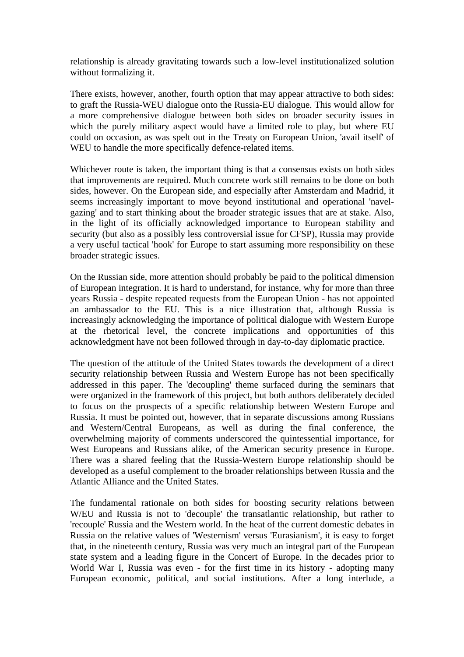relationship is already gravitating towards such a low-level institutionalized solution without formalizing it.

There exists, however, another, fourth option that may appear attractive to both sides: to graft the Russia-WEU dialogue onto the Russia-EU dialogue. This would allow for a more comprehensive dialogue between both sides on broader security issues in which the purely military aspect would have a limited role to play, but where EU could on occasion, as was spelt out in the Treaty on European Union, 'avail itself' of WEU to handle the more specifically defence-related items.

Whichever route is taken, the important thing is that a consensus exists on both sides that improvements are required. Much concrete work still remains to be done on both sides, however. On the European side, and especially after Amsterdam and Madrid, it seems increasingly important to move beyond institutional and operational 'navelgazing' and to start thinking about the broader strategic issues that are at stake. Also, in the light of its officially acknowledged importance to European stability and security (but also as a possibly less controversial issue for CFSP), Russia may provide a very useful tactical 'hook' for Europe to start assuming more responsibility on these broader strategic issues.

On the Russian side, more attention should probably be paid to the political dimension of European integration. It is hard to understand, for instance, why for more than three years Russia - despite repeated requests from the European Union - has not appointed an ambassador to the EU. This is a nice illustration that, although Russia is increasingly acknowledging the importance of political dialogue with Western Europe at the rhetorical level, the concrete implications and opportunities of this acknowledgment have not been followed through in day-to-day diplomatic practice.

The question of the attitude of the United States towards the development of a direct security relationship between Russia and Western Europe has not been specifically addressed in this paper. The 'decoupling' theme surfaced during the seminars that were organized in the framework of this project, but both authors deliberately decided to focus on the prospects of a specific relationship between Western Europe and Russia. It must be pointed out, however, that in separate discussions among Russians and Western/Central Europeans, as well as during the final conference, the overwhelming majority of comments underscored the quintessential importance, for West Europeans and Russians alike, of the American security presence in Europe. There was a shared feeling that the Russia-Western Europe relationship should be developed as a useful complement to the broader relationships between Russia and the Atlantic Alliance and the United States.

The fundamental rationale on both sides for boosting security relations between W/EU and Russia is not to 'decouple' the transatlantic relationship, but rather to 'recouple' Russia and the Western world. In the heat of the current domestic debates in Russia on the relative values of 'Westernism' versus 'Eurasianism', it is easy to forget that, in the nineteenth century, Russia was very much an integral part of the European state system and a leading figure in the Concert of Europe. In the decades prior to World War I, Russia was even - for the first time in its history - adopting many European economic, political, and social institutions. After a long interlude, a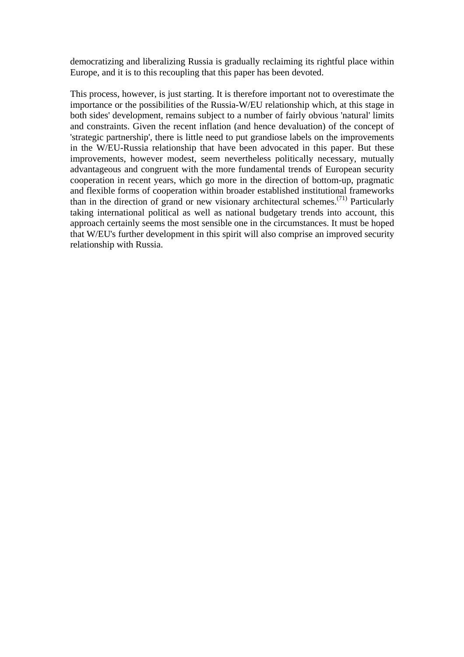democratizing and liberalizing Russia is gradually reclaiming its rightful place within Europe, and it is to this recoupling that this paper has been devoted.

This process, however, is just starting. It is therefore important not to overestimate the importance or the possibilities of the Russia-W/EU relationship which, at this stage in both sides' development, remains subject to a number of fairly obvious 'natural' limits and constraints. Given the recent inflation (and hence devaluation) of the concept of 'strategic partnership', there is little need to put grandiose labels on the improvements in the W/EU-Russia relationship that have been advocated in this paper. But these improvements, however modest, seem nevertheless politically necessary, mutually advantageous and congruent with the more fundamental trends of European security cooperation in recent years, which go more in the direction of bottom-up, pragmatic and flexible forms of cooperation within broader established institutional frameworks than in the direction of grand or new visionary architectural schemes.<sup> $(71)$ </sup> Particularly taking international political as well as national budgetary trends into account, this approach certainly seems the most sensible one in the circumstances. It must be hoped that W/EU's further development in this spirit will also comprise an improved security relationship with Russia.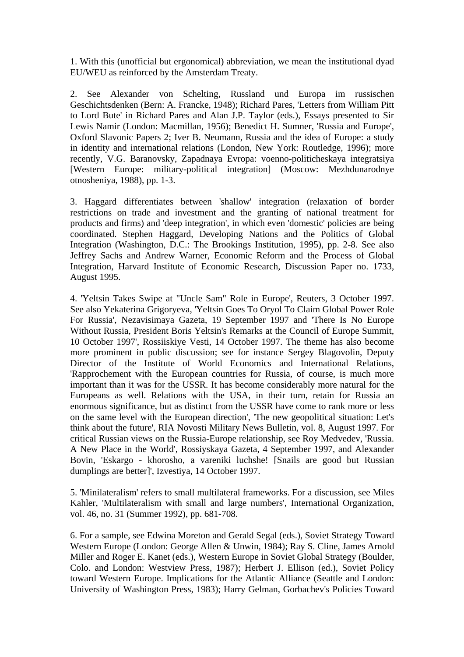1. With this (unofficial but ergonomical) abbreviation, we mean the institutional dyad EU/WEU as reinforced by the Amsterdam Treaty.

2. See Alexander von Schelting, Russland und Europa im russischen Geschichtsdenken (Bern: A. Francke, 1948); Richard Pares, 'Letters from William Pitt to Lord Bute' in Richard Pares and Alan J.P. Taylor (eds.), Essays presented to Sir Lewis Namir (London: Macmillan, 1956); Benedict H. Sumner, 'Russia and Europe', Oxford Slavonic Papers 2; Iver B. Neumann, Russia and the idea of Europe: a study in identity and international relations (London, New York: Routledge, 1996); more recently, V.G. Baranovsky, Zapadnaya Evropa: voenno-politicheskaya integratsiya [Western Europe: military-political integration] (Moscow: Mezhdunarodnye otnosheniya, 1988), pp. 1-3.

3. Haggard differentiates between 'shallow' integration (relaxation of border restrictions on trade and investment and the granting of national treatment for products and firms) and 'deep integration', in which even 'domestic' policies are being coordinated. Stephen Haggard, Developing Nations and the Politics of Global Integration (Washington, D.C.: The Brookings Institution, 1995), pp. 2-8. See also Jeffrey Sachs and Andrew Warner, Economic Reform and the Process of Global Integration, Harvard Institute of Economic Research, Discussion Paper no. 1733, August 1995.

4. 'Yeltsin Takes Swipe at "Uncle Sam" Role in Europe', Reuters, 3 October 1997. See also Yekaterina Grigoryeva, 'Yeltsin Goes To Oryol To Claim Global Power Role For Russia', Nezavisimaya Gazeta, 19 September 1997 and 'There Is No Europe Without Russia, President Boris Yeltsin's Remarks at the Council of Europe Summit, 10 October 1997', Rossiiskiye Vesti, 14 October 1997. The theme has also become more prominent in public discussion; see for instance Sergey Blagovolin, Deputy Director of the Institute of World Economics and International Relations, 'Rapprochement with the European countries for Russia, of course, is much more important than it was for the USSR. It has become considerably more natural for the Europeans as well. Relations with the USA, in their turn, retain for Russia an enormous significance, but as distinct from the USSR have come to rank more or less on the same level with the European direction', 'The new geopolitical situation: Let's think about the future', RIA Novosti Military News Bulletin, vol. 8, August 1997. For critical Russian views on the Russia-Europe relationship, see Roy Medvedev, 'Russia. A New Place in the World', Rossiyskaya Gazeta, 4 September 1997, and Alexander Bovin, 'Eskargo - khorosho, a vareniki luchshe! [Snails are good but Russian dumplings are better]', Izvestiya, 14 October 1997.

5. 'Minilateralism' refers to small multilateral frameworks. For a discussion, see Miles Kahler, 'Multilateralism with small and large numbers', International Organization, vol. 46, no. 31 (Summer 1992), pp. 681-708.

6. For a sample, see Edwina Moreton and Gerald Segal (eds.), Soviet Strategy Toward Western Europe (London: George Allen & Unwin, 1984); Ray S. Cline, James Arnold Miller and Roger E. Kanet (eds.), Western Europe in Soviet Global Strategy (Boulder, Colo. and London: Westview Press, 1987); Herbert J. Ellison (ed.), Soviet Policy toward Western Europe. Implications for the Atlantic Alliance (Seattle and London: University of Washington Press, 1983); Harry Gelman, Gorbachev's Policies Toward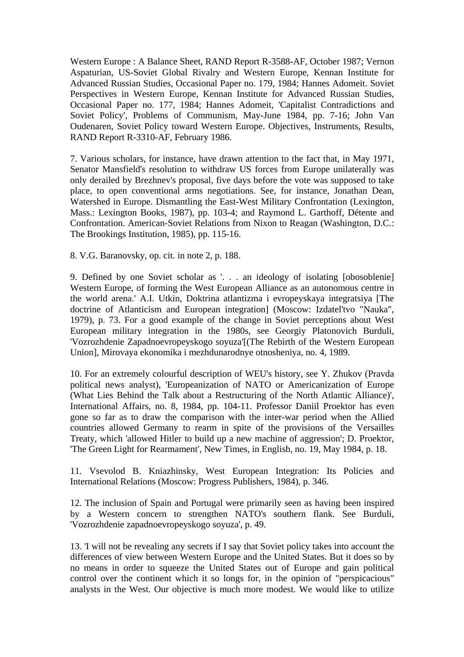Western Europe : A Balance Sheet, RAND Report R-3588-AF, October 1987; Vernon Aspaturian, US-Soviet Global Rivalry and Western Europe, Kennan Institute for Advanced Russian Studies, Occasional Paper no. 179, 1984; Hannes Adomeit. Soviet Perspectives in Western Europe, Kennan Institute for Advanced Russian Studies, Occasional Paper no. 177, 1984; Hannes Adomeit, 'Capitalist Contradictions and Soviet Policy', Problems of Communism, May-June 1984, pp. 7-16; John Van Oudenaren, Soviet Policy toward Western Europe. Objectives, Instruments, Results, RAND Report R-3310-AF, February 1986.

7. Various scholars, for instance, have drawn attention to the fact that, in May 1971, Senator Mansfield's resolution to withdraw US forces from Europe unilaterally was only derailed by Brezhnev's proposal, five days before the vote was supposed to take place, to open conventional arms negotiations. See, for instance, Jonathan Dean, Watershed in Europe. Dismantling the East-West Military Confrontation (Lexington, Mass.: Lexington Books, 1987), pp. 103-4; and Raymond L. Garthoff, Détente and Confrontation. American-Soviet Relations from Nixon to Reagan (Washington, D.C.: The Brookings Institution, 1985), pp. 115-16.

8. V.G. Baranovsky, op. cit. in note 2, p. 188.

9. Defined by one Soviet scholar as '. . . an ideology of isolating [obosoblenie] Western Europe, of forming the West European Alliance as an autonomous centre in the world arena.' A.I. Utkin, Doktrina atlantizma i evropeyskaya integratsiya [The doctrine of Atlanticism and European integration] (Moscow: Izdatel'tvo "Nauka", 1979), p. 73. For a good example of the change in Soviet perceptions about West European military integration in the 1980s, see Georgiy Platonovich Burduli, 'Vozrozhdenie Zapadnoevropeyskogo soyuza'[(The Rebirth of the Western European Union], Mirovaya ekonomika i mezhdunarodnye otnosheniya, no. 4, 1989.

10. For an extremely colourful description of WEU's history, see Y. Zhukov (Pravda political news analyst), 'Europeanization of NATO or Americanization of Europe (What Lies Behind the Talk about a Restructuring of the North Atlantic Alliance)', International Affairs, no. 8, 1984, pp. 104-11. Professor Daniil Proektor has even gone so far as to draw the comparison with the inter-war period when the Allied countries allowed Germany to rearm in spite of the provisions of the Versailles Treaty, which 'allowed Hitler to build up a new machine of aggression'; D. Proektor, 'The Green Light for Rearmament', New Times, in English, no. 19, May 1984, p. 18.

11. Vsevolod B. Kniazhinsky, West European Integration: Its Policies and International Relations (Moscow: Progress Publishers, 1984), p. 346.

12. The inclusion of Spain and Portugal were primarily seen as having been inspired by a Western concern to strengthen NATO's southern flank. See Burduli, 'Vozrozhdenie zapadnoevropeyskogo soyuza', p. 49.

13. 'I will not be revealing any secrets if I say that Soviet policy takes into account the differences of view between Western Europe and the United States. But it does so by no means in order to squeeze the United States out of Europe and gain political control over the continent which it so longs for, in the opinion of "perspicacious" analysts in the West. Our objective is much more modest. We would like to utilize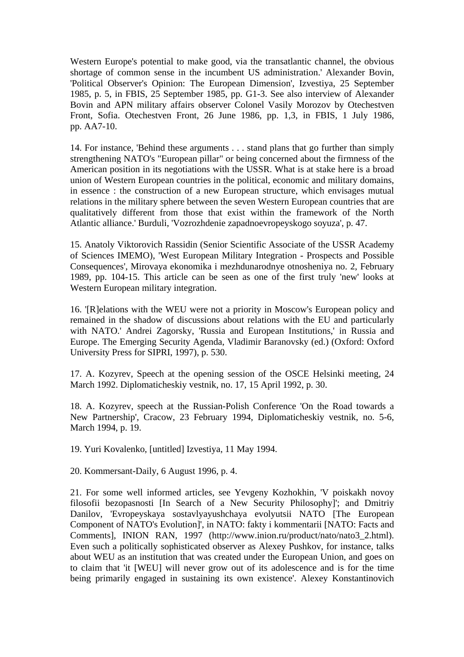Western Europe's potential to make good, via the transatlantic channel, the obvious shortage of common sense in the incumbent US administration.' Alexander Bovin, 'Political Observer's Opinion: The European Dimension', Izvestiya, 25 September 1985, p. 5, in FBIS, 25 September 1985, pp. G1-3. See also interview of Alexander Bovin and APN military affairs observer Colonel Vasily Morozov by Otechestven Front, Sofia. Otechestven Front, 26 June 1986, pp. 1,3, in FBIS, 1 July 1986, pp. AA7-10.

14. For instance, 'Behind these arguments . . . stand plans that go further than simply strengthening NATO's "European pillar" or being concerned about the firmness of the American position in its negotiations with the USSR. What is at stake here is a broad union of Western European countries in the political, economic and military domains, in essence : the construction of a new European structure, which envisages mutual relations in the military sphere between the seven Western European countries that are qualitatively different from those that exist within the framework of the North Atlantic alliance.' Burduli, 'Vozrozhdenie zapadnoevropeyskogo soyuza', p. 47.

15. Anatoly Viktorovich Rassidin (Senior Scientific Associate of the USSR Academy of Sciences IMEMO), 'West European Military Integration - Prospects and Possible Consequences', Mirovaya ekonomika i mezhdunarodnye otnosheniya no. 2, February 1989, pp. 104-15. This article can be seen as one of the first truly 'new' looks at Western European military integration.

16. '[R]elations with the WEU were not a priority in Moscow's European policy and remained in the shadow of discussions about relations with the EU and particularly with NATO.' Andrei Zagorsky, 'Russia and European Institutions,' in Russia and Europe. The Emerging Security Agenda, Vladimir Baranovsky (ed.) (Oxford: Oxford University Press for SIPRI, 1997), p. 530.

17. A. Kozyrev, Speech at the opening session of the OSCE Helsinki meeting, 24 March 1992. Diplomaticheskiy vestnik, no. 17, 15 April 1992, p. 30.

18. A. Kozyrev, speech at the Russian-Polish Conference 'On the Road towards a New Partnership', Cracow, 23 February 1994, Diplomaticheskiy vestnik, no. 5-6, March 1994, p. 19.

19. Yuri Kovalenko, [untitled] Izvestiya, 11 May 1994.

20. Kommersant-Daily, 6 August 1996, p. 4.

21. For some well informed articles, see Yevgeny Kozhokhin, 'V poiskakh novoy filosofii bezopasnosti [In Search of a New Security Philosophy]'; and Dmitriy Danilov, 'Evropeyskaya sostavlyayushchaya evolyutsii NATO [The European Component of NATO's Evolution]', in NATO: fakty i kommentarii [NATO: Facts and Comments], INION RAN, 1997 (http://www.inion.ru/product/nato/nato3\_2.html). Even such a politically sophisticated observer as Alexey Pushkov, for instance, talks about WEU as an institution that was created under the European Union, and goes on to claim that 'it [WEU] will never grow out of its adolescence and is for the time being primarily engaged in sustaining its own existence'. Alexey Konstantinovich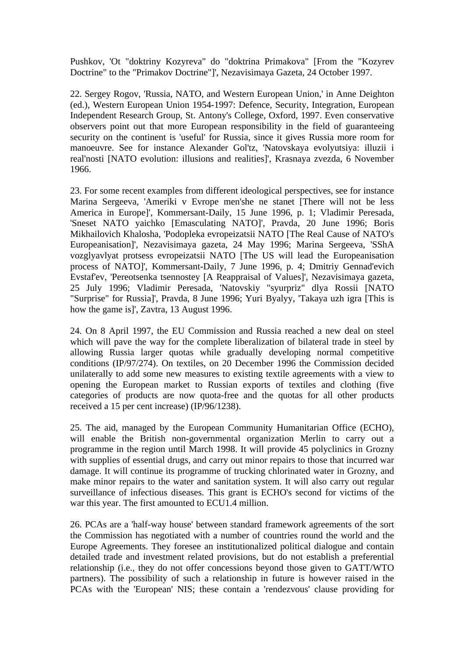Pushkov, 'Ot "doktriny Kozyreva" do "doktrina Primakova" [From the "Kozyrev Doctrine" to the "Primakov Doctrine"]', Nezavisimaya Gazeta, 24 October 1997.

22. Sergey Rogov, 'Russia, NATO, and Western European Union,' in Anne Deighton (ed.), Western European Union 1954-1997: Defence, Security, Integration, European Independent Research Group, St. Antony's College, Oxford, 1997. Even conservative observers point out that more European responsibility in the field of guaranteeing security on the continent is 'useful' for Russia, since it gives Russia more room for manoeuvre. See for instance Alexander Gol'tz, 'Natovskaya evolyutsiya: illuzii i real'nosti [NATO evolution: illusions and realities]', Krasnaya zvezda, 6 November 1966.

23. For some recent examples from different ideological perspectives, see for instance Marina Sergeeva, 'Ameriki v Evrope men'she ne stanet [There will not be less America in Europe]', Kommersant-Daily, 15 June 1996, p. 1; Vladimir Peresada, 'Sneset NATO yaichko [Emasculating NATO]', Pravda, 20 June 1996; Boris Mikhailovich Khalosha, 'Podopleka evropeizatsii NATO [The Real Cause of NATO's Europeanisation]', Nezavisimaya gazeta, 24 May 1996; Marina Sergeeva, 'SShA vozglyavlyat protsess evropeizatsii NATO [The US will lead the Europeanisation process of NATO]', Kommersant-Daily, 7 June 1996, p. 4; Dmitriy Gennad'evich Evstaf'ev, 'Pereotsenka tsennostey [A Reappraisal of Values]', Nezavisimaya gazeta, 25 July 1996; Vladimir Peresada, 'Natovskiy "syurpriz" dlya Rossii [NATO "Surprise" for Russia]', Pravda, 8 June 1996; Yuri Byalyy, 'Takaya uzh igra [This is how the game is]', Zavtra, 13 August 1996.

24. On 8 April 1997, the EU Commission and Russia reached a new deal on steel which will pave the way for the complete liberalization of bilateral trade in steel by allowing Russia larger quotas while gradually developing normal competitive conditions (IP/97/274). On textiles, on 20 December 1996 the Commission decided unilaterally to add some new measures to existing textile agreements with a view to opening the European market to Russian exports of textiles and clothing (five categories of products are now quota-free and the quotas for all other products received a 15 per cent increase) (IP/96/1238).

25. The aid, managed by the European Community Humanitarian Office (ECHO), will enable the British non-governmental organization Merlin to carry out a programme in the region until March 1998. It will provide 45 polyclinics in Grozny with supplies of essential drugs, and carry out minor repairs to those that incurred war damage. It will continue its programme of trucking chlorinated water in Grozny, and make minor repairs to the water and sanitation system. It will also carry out regular surveillance of infectious diseases. This grant is ECHO's second for victims of the war this year. The first amounted to ECU1.4 million.

26. PCAs are a 'half-way house' between standard framework agreements of the sort the Commission has negotiated with a number of countries round the world and the Europe Agreements. They foresee an institutionalized political dialogue and contain detailed trade and investment related provisions, but do not establish a preferential relationship (i.e., they do not offer concessions beyond those given to GATT/WTO partners). The possibility of such a relationship in future is however raised in the PCAs with the 'European' NIS; these contain a 'rendezvous' clause providing for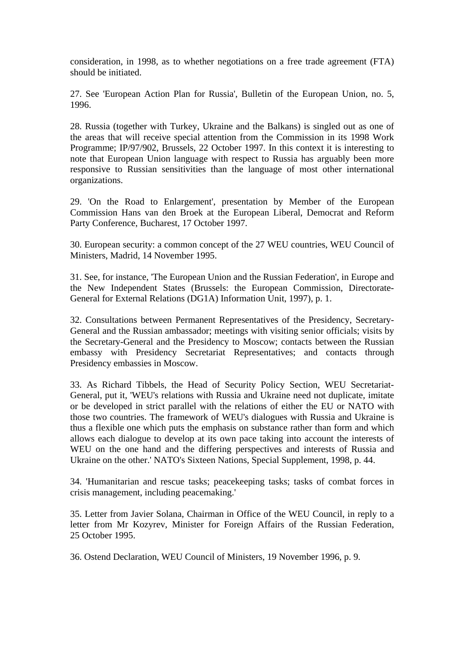consideration, in 1998, as to whether negotiations on a free trade agreement (FTA) should be initiated.

27. See 'European Action Plan for Russia', Bulletin of the European Union, no. 5, 1996.

28. Russia (together with Turkey, Ukraine and the Balkans) is singled out as one of the areas that will receive special attention from the Commission in its 1998 Work Programme; IP/97/902, Brussels, 22 October 1997. In this context it is interesting to note that European Union language with respect to Russia has arguably been more responsive to Russian sensitivities than the language of most other international organizations.

29. 'On the Road to Enlargement', presentation by Member of the European Commission Hans van den Broek at the European Liberal, Democrat and Reform Party Conference, Bucharest, 17 October 1997.

30. European security: a common concept of the 27 WEU countries, WEU Council of Ministers, Madrid, 14 November 1995.

31. See, for instance, 'The European Union and the Russian Federation', in Europe and the New Independent States (Brussels: the European Commission, Directorate-General for External Relations (DG1A) Information Unit, 1997), p. 1.

32. Consultations between Permanent Representatives of the Presidency, Secretary-General and the Russian ambassador; meetings with visiting senior officials; visits by the Secretary-General and the Presidency to Moscow; contacts between the Russian embassy with Presidency Secretariat Representatives; and contacts through Presidency embassies in Moscow.

33. As Richard Tibbels, the Head of Security Policy Section, WEU Secretariat-General, put it, 'WEU's relations with Russia and Ukraine need not duplicate, imitate or be developed in strict parallel with the relations of either the EU or NATO with those two countries. The framework of WEU's dialogues with Russia and Ukraine is thus a flexible one which puts the emphasis on substance rather than form and which allows each dialogue to develop at its own pace taking into account the interests of WEU on the one hand and the differing perspectives and interests of Russia and Ukraine on the other.' NATO's Sixteen Nations, Special Supplement, 1998, p. 44.

34. 'Humanitarian and rescue tasks; peacekeeping tasks; tasks of combat forces in crisis management, including peacemaking.'

35. Letter from Javier Solana, Chairman in Office of the WEU Council, in reply to a letter from Mr Kozyrev, Minister for Foreign Affairs of the Russian Federation, 25 October 1995.

36. Ostend Declaration, WEU Council of Ministers, 19 November 1996, p. 9.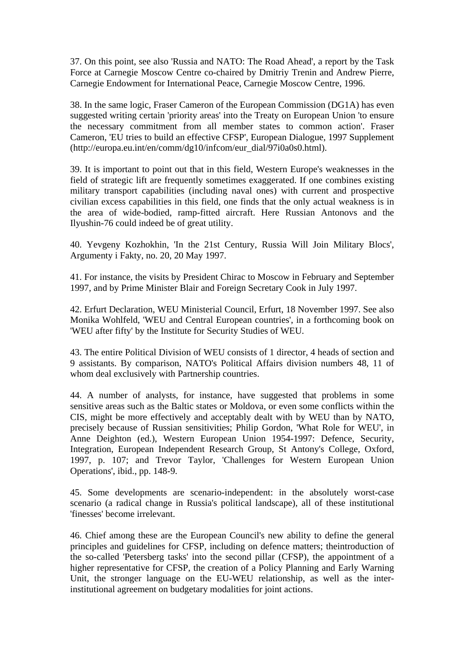37. On this point, see also 'Russia and NATO: The Road Ahead', a report by the Task Force at Carnegie Moscow Centre co-chaired by Dmitriy Trenin and Andrew Pierre, Carnegie Endowment for International Peace, Carnegie Moscow Centre, 1996.

38. In the same logic, Fraser Cameron of the European Commission (DG1A) has even suggested writing certain 'priority areas' into the Treaty on European Union 'to ensure the necessary commitment from all member states to common action'. Fraser Cameron, 'EU tries to build an effective CFSP', European Dialogue, 1997 Supplement (http://europa.eu.int/en/comm/dg10/infcom/eur\_dial/97i0a0s0.html).

39. It is important to point out that in this field, Western Europe's weaknesses in the field of strategic lift are frequently sometimes exaggerated. If one combines existing military transport capabilities (including naval ones) with current and prospective civilian excess capabilities in this field, one finds that the only actual weakness is in the area of wide-bodied, ramp-fitted aircraft. Here Russian Antonovs and the Ilyushin-76 could indeed be of great utility.

40. Yevgeny Kozhokhin, 'In the 21st Century, Russia Will Join Military Blocs', Argumenty i Fakty, no. 20, 20 May 1997.

41. For instance, the visits by President Chirac to Moscow in February and September 1997, and by Prime Minister Blair and Foreign Secretary Cook in July 1997.

42. Erfurt Declaration, WEU Ministerial Council, Erfurt, 18 November 1997. See also Monika Wohlfeld, 'WEU and Central European countries', in a forthcoming book on 'WEU after fifty' by the Institute for Security Studies of WEU.

43. The entire Political Division of WEU consists of 1 director, 4 heads of section and 9 assistants. By comparison, NATO's Political Affairs division numbers 48, 11 of whom deal exclusively with Partnership countries.

44. A number of analysts, for instance, have suggested that problems in some sensitive areas such as the Baltic states or Moldova, or even some conflicts within the CIS, might be more effectively and acceptably dealt with by WEU than by NATO, precisely because of Russian sensitivities; Philip Gordon, 'What Role for WEU', in Anne Deighton (ed.), Western European Union 1954-1997: Defence, Security, Integration, European Independent Research Group, St Antony's College, Oxford, 1997, p. 107; and Trevor Taylor, 'Challenges for Western European Union Operations', ibid., pp. 148-9.

45. Some developments are scenario-independent: in the absolutely worst-case scenario (a radical change in Russia's political landscape), all of these institutional 'finesses' become irrelevant.

46. Chief among these are the European Council's new ability to define the general principles and guidelines for CFSP, including on defence matters; theintroduction of the so-called 'Petersberg tasks' into the second pillar (CFSP), the appointment of a higher representative for CFSP, the creation of a Policy Planning and Early Warning Unit, the stronger language on the EU-WEU relationship, as well as the interinstitutional agreement on budgetary modalities for joint actions.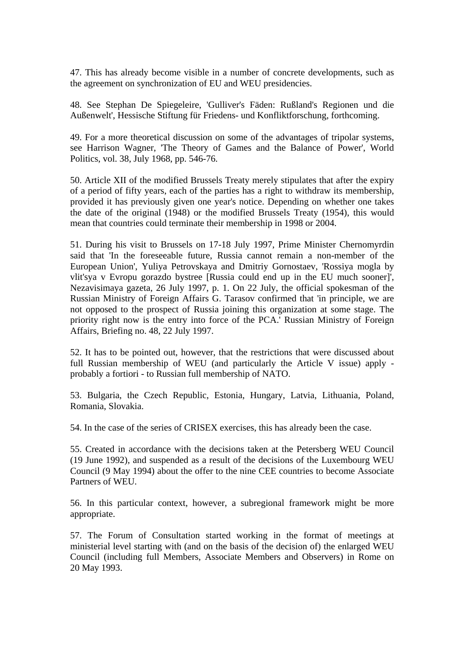47. This has already become visible in a number of concrete developments, such as the agreement on synchronization of EU and WEU presidencies.

48. See Stephan De Spiegeleire, 'Gulliver's Fäden: Rußland's Regionen und die Außenwelt', Hessische Stiftung für Friedens- und Konfliktforschung, forthcoming.

49. For a more theoretical discussion on some of the advantages of tripolar systems, see Harrison Wagner, 'The Theory of Games and the Balance of Power', World Politics, vol. 38, July 1968, pp. 546-76.

50. Article XII of the modified Brussels Treaty merely stipulates that after the expiry of a period of fifty years, each of the parties has a right to withdraw its membership, provided it has previously given one year's notice. Depending on whether one takes the date of the original (1948) or the modified Brussels Treaty (1954), this would mean that countries could terminate their membership in 1998 or 2004.

51. During his visit to Brussels on 17-18 July 1997, Prime Minister Chernomyrdin said that 'In the foreseeable future, Russia cannot remain a non-member of the European Union', Yuliya Petrovskaya and Dmitriy Gornostaev, 'Rossiya mogla by vlit'sya v Evropu gorazdo bystree [Russia could end up in the EU much sooner]', Nezavisimaya gazeta, 26 July 1997, p. 1. On 22 July, the official spokesman of the Russian Ministry of Foreign Affairs G. Tarasov confirmed that 'in principle, we are not opposed to the prospect of Russia joining this organization at some stage. The priority right now is the entry into force of the PCA.' Russian Ministry of Foreign Affairs, Briefing no. 48, 22 July 1997.

52. It has to be pointed out, however, that the restrictions that were discussed about full Russian membership of WEU (and particularly the Article V issue) apply probably a fortiori - to Russian full membership of NATO.

53. Bulgaria, the Czech Republic, Estonia, Hungary, Latvia, Lithuania, Poland, Romania, Slovakia.

54. In the case of the series of CRISEX exercises, this has already been the case.

55. Created in accordance with the decisions taken at the Petersberg WEU Council (19 June 1992), and suspended as a result of the decisions of the Luxembourg WEU Council (9 May 1994) about the offer to the nine CEE countries to become Associate Partners of WEU.

56. In this particular context, however, a subregional framework might be more appropriate.

57. The Forum of Consultation started working in the format of meetings at ministerial level starting with (and on the basis of the decision of) the enlarged WEU Council (including full Members, Associate Members and Observers) in Rome on 20 May 1993.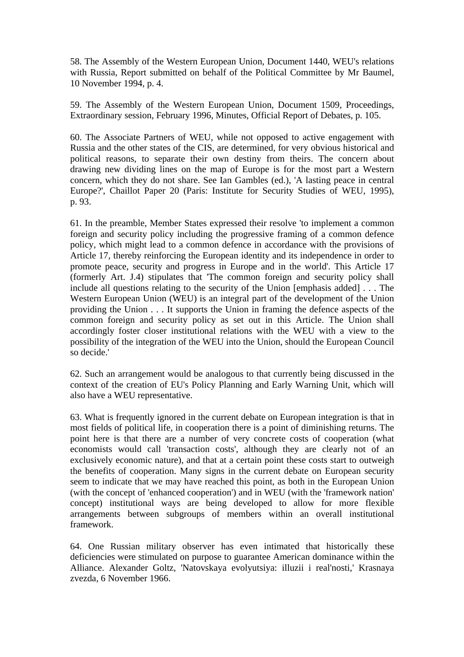58. The Assembly of the Western European Union, Document 1440, WEU's relations with Russia, Report submitted on behalf of the Political Committee by Mr Baumel, 10 November 1994, p. 4.

59. The Assembly of the Western European Union, Document 1509, Proceedings, Extraordinary session, February 1996, Minutes, Official Report of Debates, p. 105.

60. The Associate Partners of WEU, while not opposed to active engagement with Russia and the other states of the CIS, are determined, for very obvious historical and political reasons, to separate their own destiny from theirs. The concern about drawing new dividing lines on the map of Europe is for the most part a Western concern, which they do not share. See Ian Gambles (ed.), 'A lasting peace in central Europe?', Chaillot Paper 20 (Paris: Institute for Security Studies of WEU, 1995), p. 93.

61. In the preamble, Member States expressed their resolve 'to implement a common foreign and security policy including the progressive framing of a common defence policy, which might lead to a common defence in accordance with the provisions of Article 17, thereby reinforcing the European identity and its independence in order to promote peace, security and progress in Europe and in the world'. This Article 17 (formerly Art. J.4) stipulates that 'The common foreign and security policy shall include all questions relating to the security of the Union [emphasis added] . . . The Western European Union (WEU) is an integral part of the development of the Union providing the Union . . . It supports the Union in framing the defence aspects of the common foreign and security policy as set out in this Article. The Union shall accordingly foster closer institutional relations with the WEU with a view to the possibility of the integration of the WEU into the Union, should the European Council so decide.'

62. Such an arrangement would be analogous to that currently being discussed in the context of the creation of EU's Policy Planning and Early Warning Unit, which will also have a WEU representative.

63. What is frequently ignored in the current debate on European integration is that in most fields of political life, in cooperation there is a point of diminishing returns. The point here is that there are a number of very concrete costs of cooperation (what economists would call 'transaction costs', although they are clearly not of an exclusively economic nature), and that at a certain point these costs start to outweigh the benefits of cooperation. Many signs in the current debate on European security seem to indicate that we may have reached this point, as both in the European Union (with the concept of 'enhanced cooperation') and in WEU (with the 'framework nation' concept) institutional ways are being developed to allow for more flexible arrangements between subgroups of members within an overall institutional framework.

64. One Russian military observer has even intimated that historically these deficiencies were stimulated on purpose to guarantee American dominance within the Alliance. Alexander Goltz, 'Natovskaya evolyutsiya: illuzii i real'nosti,' Krasnaya zvezda, 6 November 1966.